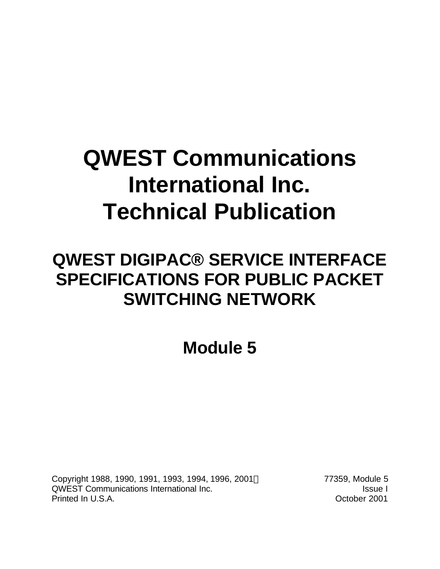# **QWEST Communications International Inc. Technical Publication**

## **QWEST DIGIPAC® SERVICE INTERFACE SPECIFICATIONS FOR PUBLIC PACKET SWITCHING NETWORK**

**Module 5**

Copyright 1988, 1990, 1991, 1993, 1994, 1996, 2001 C QWEST Communications International Inc. Inc. Inc. In the International Inc. Printed In U.S.A. October 2001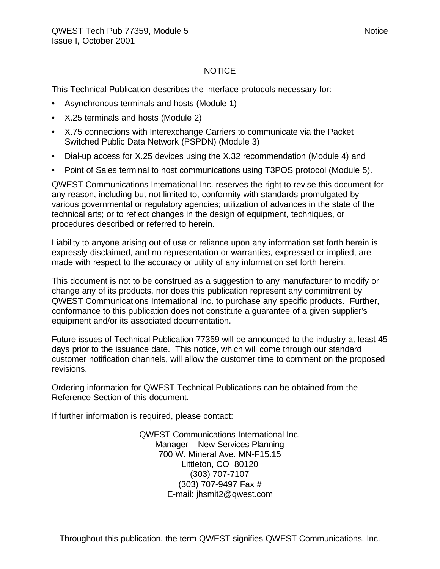#### NOTICE

This Technical Publication describes the interface protocols necessary for:

- Asynchronous terminals and hosts (Module 1)
- X.25 terminals and hosts (Module 2)
- X.75 connections with Interexchange Carriers to communicate via the Packet Switched Public Data Network (PSPDN) (Module 3)
- Dial-up access for X.25 devices using the X.32 recommendation (Module 4) and
- Point of Sales terminal to host communications using T3POS protocol (Module 5).

QWEST Communications International Inc. reserves the right to revise this document for any reason, including but not limited to, conformity with standards promulgated by various governmental or regulatory agencies; utilization of advances in the state of the technical arts; or to reflect changes in the design of equipment, techniques, or procedures described or referred to herein.

Liability to anyone arising out of use or reliance upon any information set forth herein is expressly disclaimed, and no representation or warranties, expressed or implied, are made with respect to the accuracy or utility of any information set forth herein.

This document is not to be construed as a suggestion to any manufacturer to modify or change any of its products, nor does this publication represent any commitment by QWEST Communications International Inc. to purchase any specific products. Further, conformance to this publication does not constitute a guarantee of a given supplier's equipment and/or its associated documentation.

Future issues of Technical Publication 77359 will be announced to the industry at least 45 days prior to the issuance date. This notice, which will come through our standard customer notification channels, will allow the customer time to comment on the proposed revisions.

Ordering information for QWEST Technical Publications can be obtained from the Reference Section of this document.

If further information is required, please contact:

QWEST Communications International Inc. Manager – New Services Planning 700 W. Mineral Ave. MN-F15.15 Littleton, CO 80120 (303) 707-7107 (303) 707-9497 Fax # E-mail: jhsmit2@qwest.com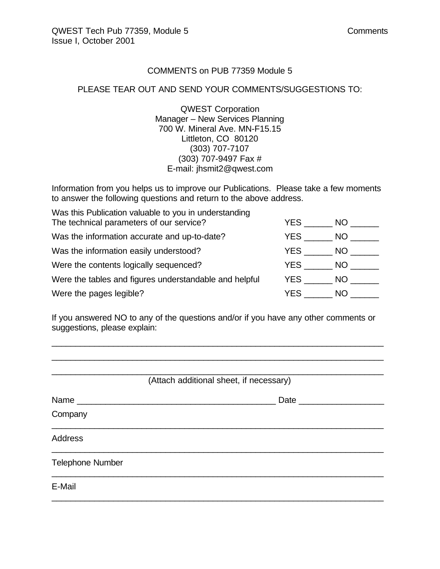#### COMMENTS on PUB 77359 Module 5

#### PLEASE TEAR OUT AND SEND YOUR COMMENTS/SUGGESTIONS TO:

QWEST Corporation Manager – New Services Planning 700 W. Mineral Ave. MN-F15.15 Littleton, CO 80120 (303) 707-7107 (303) 707-9497 Fax # E-mail: jhsmit2@qwest.com

Information from you helps us to improve our Publications. Please take a few moments to answer the following questions and return to the above address.

| Was this Publication valuable to you in understanding  |      |      |
|--------------------------------------------------------|------|------|
| The technical parameters of our service?               | YES. | NO.  |
| Was the information accurate and up-to-date?           | YES. | NO.  |
| Was the information easily understood?                 | YES  | NO.  |
| Were the contents logically sequenced?                 | YES  | NO - |
| Were the tables and figures understandable and helpful | YES  | NO.  |
| Were the pages legible?                                | YES  | NO.  |

If you answered NO to any of the questions and/or if you have any other comments or suggestions, please explain:

\_\_\_\_\_\_\_\_\_\_\_\_\_\_\_\_\_\_\_\_\_\_\_\_\_\_\_\_\_\_\_\_\_\_\_\_\_\_\_\_\_\_\_\_\_\_\_\_\_\_\_\_\_\_\_\_\_\_\_\_\_\_\_\_\_\_\_\_\_\_ \_\_\_\_\_\_\_\_\_\_\_\_\_\_\_\_\_\_\_\_\_\_\_\_\_\_\_\_\_\_\_\_\_\_\_\_\_\_\_\_\_\_\_\_\_\_\_\_\_\_\_\_\_\_\_\_\_\_\_\_\_\_\_\_\_\_\_\_\_\_

| (Attach additional sheet, if necessary) |                      |  |  |  |
|-----------------------------------------|----------------------|--|--|--|
|                                         | Date _______________ |  |  |  |
| Company                                 |                      |  |  |  |
| <b>Address</b>                          |                      |  |  |  |
| <b>Telephone Number</b>                 |                      |  |  |  |
| E-Mail                                  |                      |  |  |  |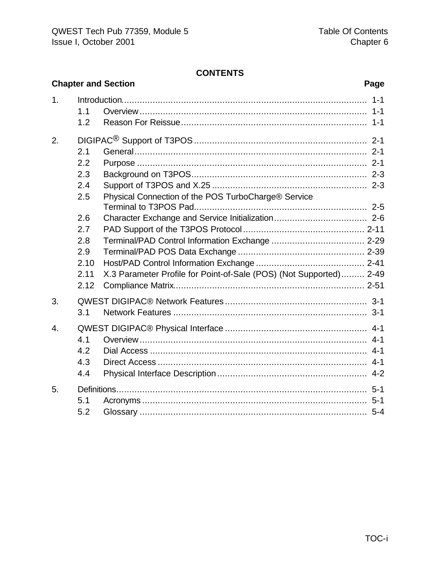#### **CONTENTS**

|                  | <b>Chapter and Section</b><br>Page               |                                                                    |  |  |  |
|------------------|--------------------------------------------------|--------------------------------------------------------------------|--|--|--|
| 1.               | 1.1<br>1.2                                       | $1 - 1$<br>$1 - 1$                                                 |  |  |  |
| 2.               | 2.1<br>2.2<br>2.3<br>2.4<br>2.5                  | Physical Connection of the POS TurboCharge® Service                |  |  |  |
|                  | 2.6<br>2.7<br>2.8<br>2.9<br>2.10<br>2.11<br>2.12 | X.3 Parameter Profile for Point-of-Sale (POS) (Not Supported) 2-49 |  |  |  |
| 3.               | 3.1                                              |                                                                    |  |  |  |
| $\overline{4}$ . | 4.1<br>4.2<br>4.3<br>4.4                         |                                                                    |  |  |  |
| 5.               | 5.1<br>5.2                                       |                                                                    |  |  |  |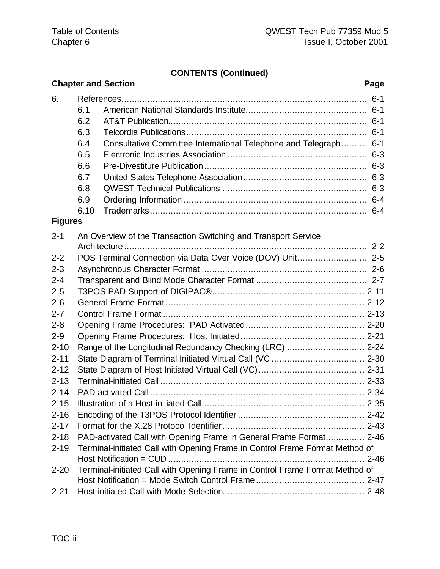### **CONTENTS (Continued)**

|                      |                                                                     | <b>Chapter and Section</b>                                                   | Page |
|----------------------|---------------------------------------------------------------------|------------------------------------------------------------------------------|------|
| 6.                   | 6.1<br>6.2<br>6.3<br>6.4<br>6.5<br>6.6<br>6.7<br>6.8<br>6.9<br>6.10 | Consultative Committee International Telephone and Telegraph 6-1             |      |
| <b>Figures</b>       |                                                                     |                                                                              |      |
| $2 - 1$              |                                                                     | An Overview of the Transaction Switching and Transport Service               |      |
| $2 - 2$              |                                                                     |                                                                              |      |
| $2 - 3$              |                                                                     |                                                                              |      |
| $2 - 4$              |                                                                     |                                                                              |      |
| $2 - 5$              |                                                                     |                                                                              |      |
| $2 - 6$              |                                                                     |                                                                              |      |
| $2 - 7$              |                                                                     |                                                                              |      |
| $2 - 8$              |                                                                     |                                                                              |      |
| $2 - 9$              |                                                                     |                                                                              |      |
| $2 - 10$<br>$2 - 11$ |                                                                     | Range of the Longitudinal Redundancy Checking (LRC)  2-24                    |      |
| $2 - 12$             |                                                                     |                                                                              |      |
| $2 - 13$             |                                                                     |                                                                              |      |
| $2 - 14$             |                                                                     |                                                                              |      |
| $2 - 15$             |                                                                     |                                                                              |      |
| $2 - 16$             |                                                                     |                                                                              |      |
| $2 - 17$             |                                                                     |                                                                              |      |
| $2 - 18$             |                                                                     | PAD-activated Call with Opening Frame in General Frame Format 2-46           |      |
| $2 - 19$             |                                                                     | Terminal-initiated Call with Opening Frame in Control Frame Format Method of |      |
| $2 - 20$             |                                                                     | Terminal-initiated Call with Opening Frame in Control Frame Format Method of |      |
| $2 - 21$             |                                                                     |                                                                              |      |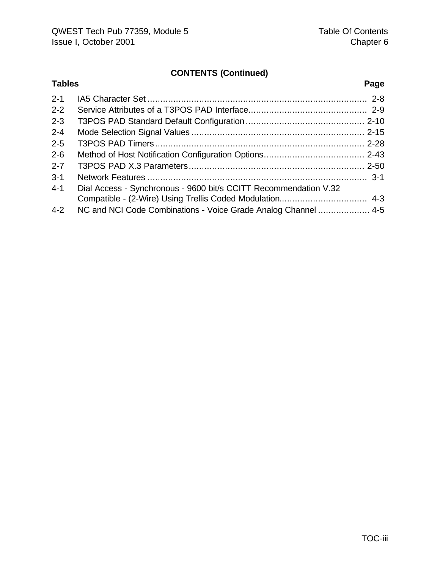### **CONTENTS (Continued)**

| <b>Tables</b> |                                                                  | Page |
|---------------|------------------------------------------------------------------|------|
| $2 - 1$       |                                                                  |      |
| $2 - 2$       |                                                                  |      |
| $2 - 3$       |                                                                  |      |
| $2 - 4$       |                                                                  |      |
| $2 - 5$       |                                                                  |      |
| $2 - 6$       |                                                                  |      |
| $2 - 7$       |                                                                  |      |
| $3 - 1$       |                                                                  |      |
| $4 - 1$       | Dial Access - Synchronous - 9600 bit/s CCITT Recommendation V.32 |      |
|               |                                                                  |      |
| $4 - 2$       | NC and NCI Code Combinations - Voice Grade Analog Channel  4-5   |      |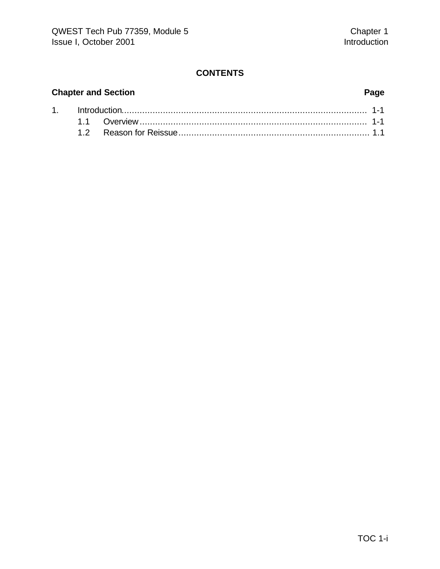#### **CONTENTS**

#### **Chapter and Section Page**

|  | 1. http://www.the.com/maria-1-1-and-0-1-2-1-and-0-2-1-and-0-2-2-and-0-2-and-0-2- |  |
|--|----------------------------------------------------------------------------------|--|
|  |                                                                                  |  |
|  |                                                                                  |  |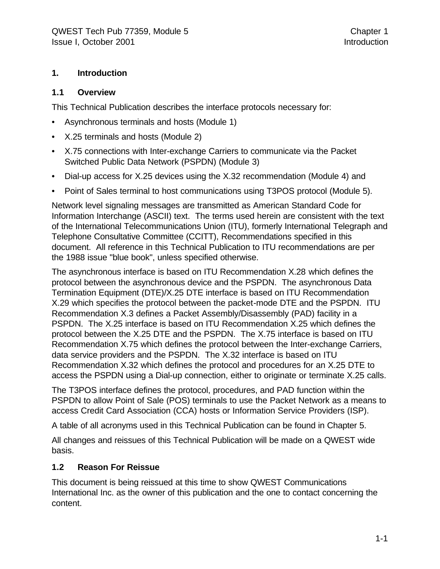#### **1. Introduction**

#### **1.1 Overview**

This Technical Publication describes the interface protocols necessary for:

- Asynchronous terminals and hosts (Module 1)
- X.25 terminals and hosts (Module 2)
- X.75 connections with Inter-exchange Carriers to communicate via the Packet Switched Public Data Network (PSPDN) (Module 3)
- Dial-up access for X.25 devices using the X.32 recommendation (Module 4) and
- Point of Sales terminal to host communications using T3POS protocol (Module 5).

Network level signaling messages are transmitted as American Standard Code for Information Interchange (ASCII) text. The terms used herein are consistent with the text of the International Telecommunications Union (ITU), formerly International Telegraph and Telephone Consultative Committee (CCITT), Recommendations specified in this document. All reference in this Technical Publication to ITU recommendations are per the 1988 issue "blue book", unless specified otherwise.

The asynchronous interface is based on ITU Recommendation X.28 which defines the protocol between the asynchronous device and the PSPDN. The asynchronous Data Termination Equipment (DTE)/X.25 DTE interface is based on ITU Recommendation X.29 which specifies the protocol between the packet-mode DTE and the PSPDN. ITU Recommendation X.3 defines a Packet Assembly/Disassembly (PAD) facility in a PSPDN. The X.25 interface is based on ITU Recommendation X.25 which defines the protocol between the X.25 DTE and the PSPDN. The X.75 interface is based on ITU Recommendation X.75 which defines the protocol between the Inter-exchange Carriers, data service providers and the PSPDN. The X.32 interface is based on ITU Recommendation X.32 which defines the protocol and procedures for an X.25 DTE to access the PSPDN using a Dial-up connection, either to originate or terminate X.25 calls.

The T3POS interface defines the protocol, procedures, and PAD function within the PSPDN to allow Point of Sale (POS) terminals to use the Packet Network as a means to access Credit Card Association (CCA) hosts or Information Service Providers (ISP).

A table of all acronyms used in this Technical Publication can be found in Chapter 5.

All changes and reissues of this Technical Publication will be made on a QWEST wide basis.

#### **1.2 Reason For Reissue**

This document is being reissued at this time to show QWEST Communications International Inc. as the owner of this publication and the one to contact concerning the content.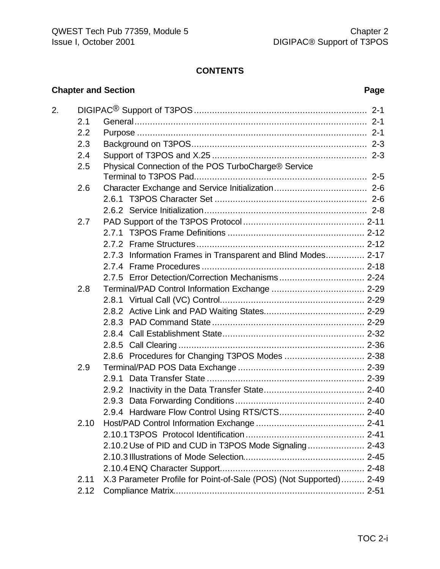#### **CONTENTS**

#### **Chapter and Section Page**

| 2. |      |                                                                    |
|----|------|--------------------------------------------------------------------|
|    | 2.1  |                                                                    |
|    | 2.2  |                                                                    |
|    | 2.3  |                                                                    |
|    | 2.4  |                                                                    |
|    | 2.5  | Physical Connection of the POS TurboCharge® Service                |
|    |      |                                                                    |
|    | 2.6  |                                                                    |
|    |      |                                                                    |
|    |      |                                                                    |
|    | 2.7  |                                                                    |
|    |      |                                                                    |
|    |      |                                                                    |
|    |      | 2.7.3 Information Frames in Transparent and Blind Modes 2-17       |
|    |      |                                                                    |
|    |      |                                                                    |
|    | 2.8  |                                                                    |
|    |      |                                                                    |
|    |      |                                                                    |
|    |      |                                                                    |
|    |      |                                                                    |
|    |      |                                                                    |
|    |      |                                                                    |
|    | 2.9  |                                                                    |
|    |      |                                                                    |
|    |      |                                                                    |
|    |      |                                                                    |
|    |      |                                                                    |
|    | 2.10 |                                                                    |
|    |      |                                                                    |
|    |      | 2.10.2 Use of PID and CUD in T3POS Mode Signaling 2-43             |
|    |      |                                                                    |
|    |      |                                                                    |
|    | 2.11 | X.3 Parameter Profile for Point-of-Sale (POS) (Not Supported) 2-49 |
|    | 2.12 |                                                                    |
|    |      |                                                                    |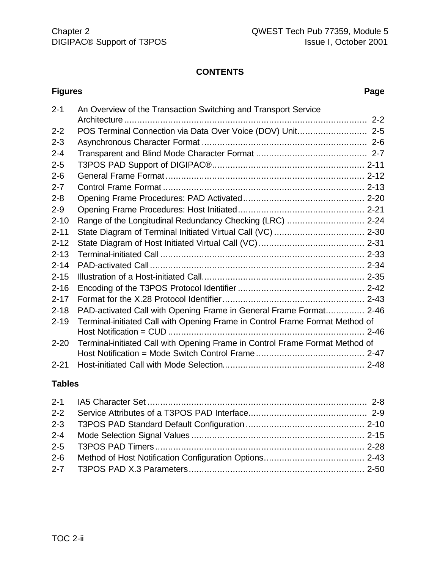#### **CONTENTS**

#### 2-1 An Overview of the Transaction Switching and Transport Service Architecture .............................................................................................. 2-2 2-2 POS Terminal Connection via Data Over Voice (DOV) Unit........................... 2-5 2-3 Asynchronous Character Format ................................................................ 2-6 2-4 Transparent and Blind Mode Character Format ........................................... 2-7 2-5 T3POS PAD Support of DIGIPAC®........................................................... 2-11 2-6 General Frame Format ............................................................................. 2-12 2-7 Control Frame Format .............................................................................. 2-13 2-8 Opening Frame Procedures: PAD Activated............................................... 2-20 2-9 Opening Frame Procedures: Host Initiated................................................. 2-21 2-10 Range of the Longitudinal Redundancy Checking (LRC) .............................. 2-24 2-11 State Diagram of Terminal Initiated Virtual Call (VC) ................................... 2-30 2-12 State Diagram of Host Initiated Virtual Call (VC)......................................... 2-31 2-13 Terminal-initiated Call ............................................................................... 2-33 2-14 PAD-activated Call ................................................................................... 2-34 2-15 Illustration of a Host-initiated Call............................................................... 2-35 2-16 Encoding of the T3POS Protocol Identifier ................................................. 2-42 2-17 Format for the X.28 Protocol Identifier....................................................... 2-43 2-18 PAD-activated Call with Opening Frame in General Frame Format............... 2-46 2-19 Terminal-initiated Call with Opening Frame in Control Frame Format Method of Host Notification = CUD ............................................................................ 2-46 2-20 Terminal-initiated Call with Opening Frame in Control Frame Format Method of Host Notification = Mode Switch Control Frame .......................................... 2-47 2-21 Host-initiated Call with Mode Selection....................................................... 2-48

#### **Tables**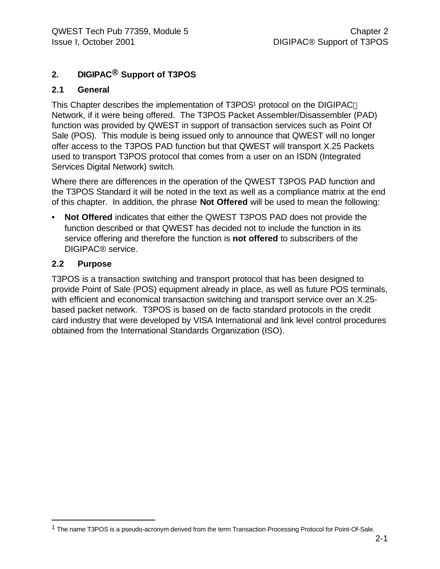### **2. DIGIPAC® Support of T3POS**

#### **2.1 General**

This Chapter describes the implementation of T3POS<sup>1</sup> protocol on the DIGIPAC<sup>®</sup> Network, if it were being offered. The T3POS Packet Assembler/Disassembler (PAD) function was provided by QWEST in support of transaction services such as Point Of Sale (POS). This module is being issued only to announce that QWEST will no longer offer access to the T3POS PAD function but that QWEST will transport X.25 Packets used to transport T3POS protocol that comes from a user on an ISDN (Integrated Services Digital Network) switch.

Where there are differences in the operation of the QWEST T3POS PAD function and the T3POS Standard it will be noted in the text as well as a compliance matrix at the end of this chapter. In addition, the phrase **Not Offered** will be used to mean the following:

• **Not Offered** indicates that either the QWEST T3POS PAD does not provide the function described or that QWEST has decided not to include the function in its service offering and therefore the function is **not offered** to subscribers of the DIGIPAC® service.

#### **2.2 Purpose**

1

T3POS is a transaction switching and transport protocol that has been designed to provide Point of Sale (POS) equipment already in place, as well as future POS terminals, with efficient and economical transaction switching and transport service over an X.25 based packet network. T3POS is based on de facto standard protocols in the credit card industry that were developed by VISA International and link level control procedures obtained from the International Standards Organization (ISO).

<sup>&</sup>lt;sup>1</sup> The name T3POS is a pseudo-acronym derived from the term Transaction Processing Protocol for Point-Of-Sale.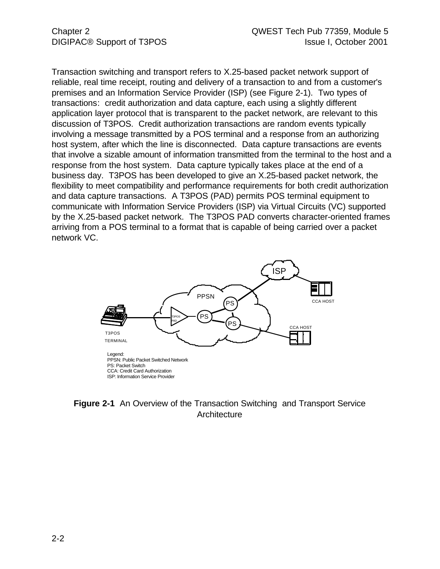Transaction switching and transport refers to X.25-based packet network support of reliable, real time receipt, routing and delivery of a transaction to and from a customer's premises and an Information Service Provider (ISP) (see Figure 2-1). Two types of transactions: credit authorization and data capture, each using a slightly different application layer protocol that is transparent to the packet network, are relevant to this discussion of T3POS. Credit authorization transactions are random events typically involving a message transmitted by a POS terminal and a response from an authorizing host system, after which the line is disconnected. Data capture transactions are events that involve a sizable amount of information transmitted from the terminal to the host and a response from the host system. Data capture typically takes place at the end of a business day. T3POS has been developed to give an X.25-based packet network, the flexibility to meet compatibility and performance requirements for both credit authorization and data capture transactions. A T3POS (PAD) permits POS terminal equipment to communicate with Information Service Providers (ISP) via Virtual Circuits (VC) supported by the X.25-based packet network. The T3POS PAD converts character-oriented frames arriving from a POS terminal to a format that is capable of being carried over a packet network VC.



#### **Figure 2-1** An Overview of the Transaction Switching and Transport Service **Architecture**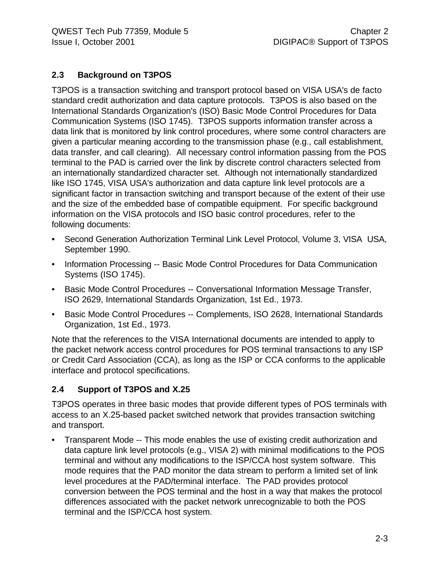#### **2.3 Background on T3POS**

T3POS is a transaction switching and transport protocol based on VISA USA's de facto standard credit authorization and data capture protocols. T3POS is also based on the International Standards Organization's (ISO) Basic Mode Control Procedures for Data Communication Systems (ISO 1745). T3POS supports information transfer across a data link that is monitored by link control procedures, where some control characters are given a particular meaning according to the transmission phase (e.g., call establishment, data transfer, and call clearing). All necessary control information passing from the POS terminal to the PAD is carried over the link by discrete control characters selected from an internationally standardized character set. Although not internationally standardized like ISO 1745, VISA USA's authorization and data capture link level protocols are a significant factor in transaction switching and transport because of the extent of their use and the size of the embedded base of compatible equipment. For specific background information on the VISA protocols and ISO basic control procedures, refer to the following documents:

- Second Generation Authorization Terminal Link Level Protocol, Volume 3, VISA USA, September 1990.
- Information Processing -- Basic Mode Control Procedures for Data Communication Systems (ISO 1745).
- Basic Mode Control Procedures -- Conversational Information Message Transfer, ISO 2629, International Standards Organization, 1st Ed., 1973.
- Basic Mode Control Procedures -- Complements, ISO 2628, International Standards Organization, 1st Ed., 1973.

Note that the references to the VISA International documents are intended to apply to the packet network access control procedures for POS terminal transactions to any ISP or Credit Card Association (CCA), as long as the ISP or CCA conforms to the applicable interface and protocol specifications.

#### **2.4 Support of T3POS and X.25**

T3POS operates in three basic modes that provide different types of POS terminals with access to an X.25-based packet switched network that provides transaction switching and transport.

• Transparent Mode -- This mode enables the use of existing credit authorization and data capture link level protocols (e.g., VISA 2) with minimal modifications to the POS terminal and without any modifications to the ISP/CCA host system software. This mode requires that the PAD monitor the data stream to perform a limited set of link level procedures at the PAD/terminal interface. The PAD provides protocol conversion between the POS terminal and the host in a way that makes the protocol differences associated with the packet network unrecognizable to both the POS terminal and the ISP/CCA host system.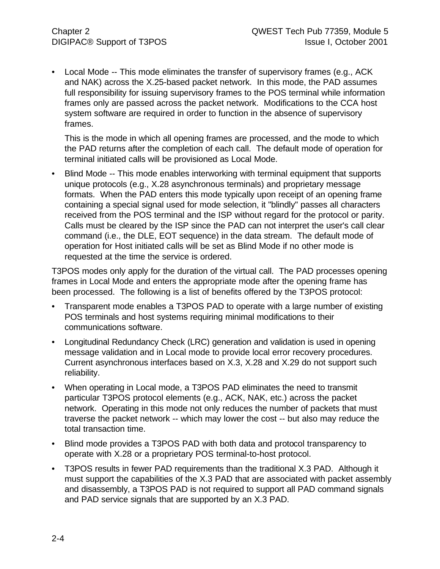• Local Mode -- This mode eliminates the transfer of supervisory frames (e.g., ACK and NAK) across the X.25-based packet network. In this mode, the PAD assumes full responsibility for issuing supervisory frames to the POS terminal while information frames only are passed across the packet network. Modifications to the CCA host system software are required in order to function in the absence of supervisory frames.

This is the mode in which all opening frames are processed, and the mode to which the PAD returns after the completion of each call. The default mode of operation for terminal initiated calls will be provisioned as Local Mode.

• Blind Mode -- This mode enables interworking with terminal equipment that supports unique protocols (e.g., X.28 asynchronous terminals) and proprietary message formats. When the PAD enters this mode typically upon receipt of an opening frame containing a special signal used for mode selection, it "blindly" passes all characters received from the POS terminal and the ISP without regard for the protocol or parity. Calls must be cleared by the ISP since the PAD can not interpret the user's call clear command (i.e., the DLE, EOT sequence) in the data stream. The default mode of operation for Host initiated calls will be set as Blind Mode if no other mode is requested at the time the service is ordered.

T3POS modes only apply for the duration of the virtual call. The PAD processes opening frames in Local Mode and enters the appropriate mode after the opening frame has been processed. The following is a list of benefits offered by the T3POS protocol:

- Transparent mode enables a T3POS PAD to operate with a large number of existing POS terminals and host systems requiring minimal modifications to their communications software.
- Longitudinal Redundancy Check (LRC) generation and validation is used in opening message validation and in Local mode to provide local error recovery procedures. Current asynchronous interfaces based on X.3, X.28 and X.29 do not support such reliability.
- When operating in Local mode, a T3POS PAD eliminates the need to transmit particular T3POS protocol elements (e.g., ACK, NAK, etc.) across the packet network. Operating in this mode not only reduces the number of packets that must traverse the packet network -- which may lower the cost -- but also may reduce the total transaction time.
- Blind mode provides a T3POS PAD with both data and protocol transparency to operate with X.28 or a proprietary POS terminal-to-host protocol.
- T3POS results in fewer PAD requirements than the traditional X.3 PAD. Although it must support the capabilities of the X.3 PAD that are associated with packet assembly and disassembly, a T3POS PAD is not required to support all PAD command signals and PAD service signals that are supported by an X.3 PAD.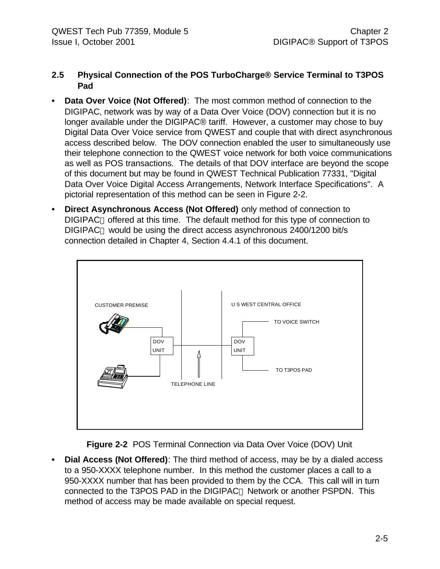#### **2.5 Physical Connection of the POS TurboCharge® Service Terminal to T3POS Pad**

- **• Data Over Voice (Not Offered)**: The most common method of connection to the DIGIPAC, network was by way of a Data Over Voice (DOV) connection but it is no longer available under the DIGIPAC® tariff. However, a customer may chose to buy Digital Data Over Voice service from QWEST and couple that with direct asynchronous access described below. The DOV connection enabled the user to simultaneously use their telephone connection to the QWEST voice network for both voice communications as well as POS transactions. The details of that DOV interface are beyond the scope of this document but may be found in QWEST Technical Publication 77331, "Digital Data Over Voice Digital Access Arrangements, Network Interface Specifications". A pictorial representation of this method can be seen in Figure 2-2.
- **• Direct Asynchronous Access (Not Offered)** only method of connection to DIGIPAC<sup>®</sup> offered at this time. The default method for this type of connection to DIGIPAC<sup>®</sup> would be using the direct access asynchronous 2400/1200 bit/s connection detailed in Chapter 4, Section 4.4.1 of this document.



**Figure 2-2** POS Terminal Connection via Data Over Voice (DOV) Unit

**• Dial Access (Not Offered)**: The third method of access, may be by a dialed access to a 950-XXXX telephone number. In this method the customer places a call to a 950-XXXX number that has been provided to them by the CCA. This call will in turn connected to the T3POS PAD in the DIGIPAC<sup>®</sup> Network or another PSPDN. This method of access may be made available on special request.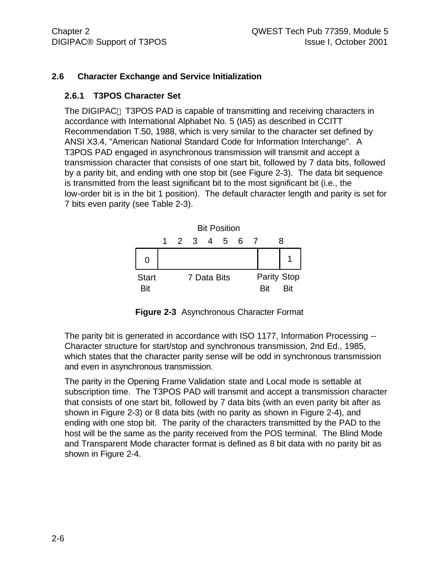#### **2.6 Character Exchange and Service Initialization**

#### **2.6.1 T3POS Character Set**

The DIGIPAC<sup>®</sup> T3POS PAD is capable of transmitting and receiving characters in accordance with International Alphabet No. 5 (IA5) as described in CCITT Recommendation T.50, 1988, which is very similar to the character set defined by ANSI X3.4, "American National Standard Code for Information Interchange". A T3POS PAD engaged in asynchronous transmission will transmit and accept a transmission character that consists of one start bit, followed by 7 data bits, followed by a parity bit, and ending with one stop bit (see Figure 2-3). The data bit sequence is transmitted from the least significant bit to the most significant bit (i.e., the low-order bit is in the bit 1 position). The default character length and parity is set for 7 bits even parity (see Table 2-3).



**Figure 2-3** Asynchronous Character Format

The parity bit is generated in accordance with ISO 1177, Information Processing -- Character structure for start/stop and synchronous transmission, 2nd Ed., 1985, which states that the character parity sense will be odd in synchronous transmission and even in asynchronous transmission.

The parity in the Opening Frame Validation state and Local mode is settable at subscription time. The T3POS PAD will transmit and accept a transmission character that consists of one start bit, followed by 7 data bits (with an even parity bit after as shown in Figure 2-3) or 8 data bits (with no parity as shown in Figure 2-4), and ending with one stop bit. The parity of the characters transmitted by the PAD to the host will be the same as the parity received from the POS terminal. The Blind Mode and Transparent Mode character format is defined as 8 bit data with no parity bit as shown in Figure 2-4.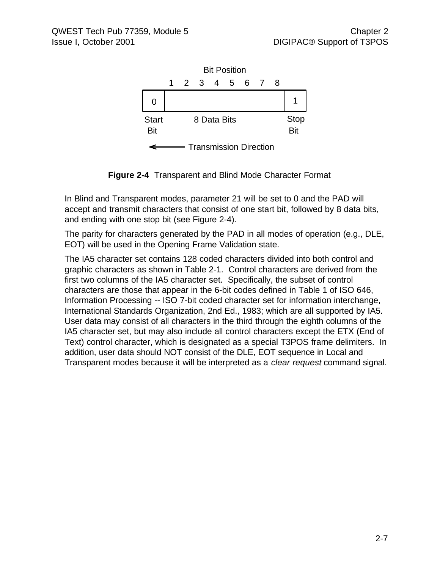

**Figure 2-4** Transparent and Blind Mode Character Format

In Blind and Transparent modes, parameter 21 will be set to 0 and the PAD will accept and transmit characters that consist of one start bit, followed by 8 data bits, and ending with one stop bit (see Figure 2-4).

The parity for characters generated by the PAD in all modes of operation (e.g., DLE, EOT) will be used in the Opening Frame Validation state.

The IA5 character set contains 128 coded characters divided into both control and graphic characters as shown in Table 2-1. Control characters are derived from the first two columns of the IA5 character set. Specifically, the subset of control characters are those that appear in the 6-bit codes defined in Table 1 of ISO 646, Information Processing -- ISO 7-bit coded character set for information interchange, International Standards Organization, 2nd Ed., 1983; which are all supported by IA5. User data may consist of all characters in the third through the eighth columns of the IA5 character set, but may also include all control characters except the ETX (End of Text) control character, which is designated as a special T3POS frame delimiters. In addition, user data should NOT consist of the DLE, EOT sequence in Local and Transparent modes because it will be interpreted as a *clear request* command signal.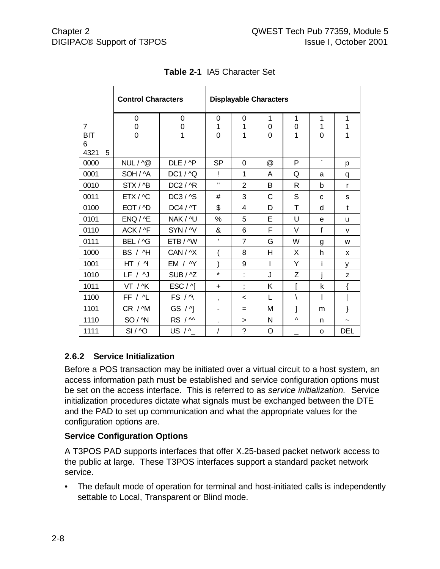|                | <b>Control Characters</b> |                     | <b>Displayable Characters</b> |                |                |              |         |            |
|----------------|---------------------------|---------------------|-------------------------------|----------------|----------------|--------------|---------|------------|
|                | 0                         | 0                   | 0                             | 0              | 1              | 1            | 1       | 1          |
| $\overline{7}$ | 0                         | $\mathbf 0$         | 1                             | 1              | 0              | 0            | 1       | 1          |
| <b>BIT</b>     | $\overline{0}$            | $\overline{1}$      | $\overline{0}$                | 1              | $\overline{0}$ | 1            | 0       | 1          |
| 6<br>4321<br>5 |                           |                     |                               |                |                |              |         |            |
| 0000           | $NUL / \wedge @$          | DLE / ^P            | <b>SP</b>                     | 0              | $^{\circledR}$ | P            | $\cdot$ | p          |
| 0001           | SOH / ^A                  | DC1 / ^Q            | Ţ                             | 1              | A              | Q            | a       | q          |
| 0010           | STX/^B                    | DC2 / ^R            | $\mathbf{H}$                  | $\overline{2}$ | B              | $\mathsf{R}$ | b       | r          |
| 0011           | ETX / ^C                  | DC3 / ^S            | #                             | 3              | $\mathsf C$    | S            | C       | s          |
| 0100           | EOT / ^D                  | <b>DC4 / ^T</b>     | \$                            | 4              | D              | T            | d       | t          |
| 0101           | ENQ / 4E                  | NAK / <sup>^U</sup> | %                             | 5              | Е              | U            | e       | u          |
| 0110           | ACK / ^F                  | SYN/^V              | &                             | 6              | F              | V            | f       | v          |
| 0111           | BEL / ^G                  | ETB / ^W            | ,                             | $\overline{7}$ | G              | W            | g       | W          |
| 1000           | BS / H                    | CAN / ^X            |                               | 8              | н              | X            | h       | X          |
| 1001           | HT / 4                    | EM / ^Y             |                               | 9              | I              | Υ            | i       | у          |
| 1010           | LF / <sub>1</sub>         | SUB / ^Z            | $\star$                       | t,             | J              | Z            | İ       | Z          |
| 1011           | VT / ^K                   | ESC/Y               | $\ddot{}$                     | ,              | Κ              |              | k       |            |
| 1100           | FF / ^L                   | FS / ^\             | $\pmb{\mathsf{y}}$            | $\,<\,$        | $\mathbf{L}$   | \            | I       |            |
| 1101           | CR / ^M                   | GS / M              | $\overline{\phantom{a}}$      | =              | M              |              | m       | }          |
| 1110           | SO/^N                     | RS / M              | $\blacksquare$                | $\geq$         | N              | Λ            | n       | J          |
| 1111           | SI/AO                     | US / ^_             | /                             | $\tilde{?}$    | O              |              | O       | <b>DEL</b> |

|  | Table 2-1 IA5 Character Set |
|--|-----------------------------|
|--|-----------------------------|

#### **2.6.2 Service Initialization**

Before a POS transaction may be initiated over a virtual circuit to a host system, an access information path must be established and service configuration options must be set on the access interface. This is referred to as *service initialization.* Service initialization procedures dictate what signals must be exchanged between the DTE and the PAD to set up communication and what the appropriate values for the configuration options are.

#### **Service Configuration Options**

A T3POS PAD supports interfaces that offer X.25-based packet network access to the public at large. These T3POS interfaces support a standard packet network service.

• The default mode of operation for terminal and host-initiated calls is independently settable to Local, Transparent or Blind mode.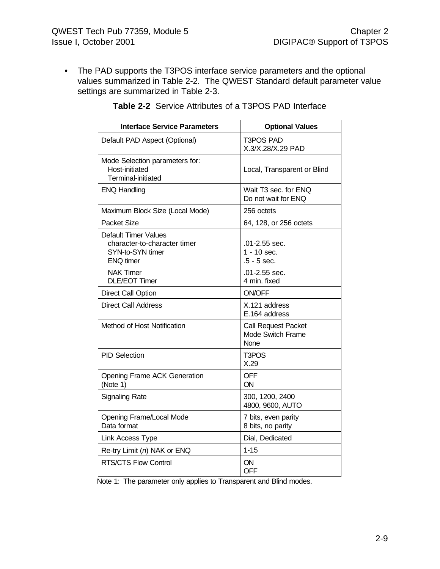• The PAD supports the T3POS interface service parameters and the optional values summarized in Table 2-2. The QWEST Standard default parameter value settings are summarized in Table 2-3.

| <b>Interface Service Parameters</b>                                                                                                      | <b>Optional Values</b>                                                           |
|------------------------------------------------------------------------------------------------------------------------------------------|----------------------------------------------------------------------------------|
| Default PAD Aspect (Optional)                                                                                                            | T3POS PAD<br>X.3/X.28/X.29 PAD                                                   |
| Mode Selection parameters for:<br>Host-initiated<br>Terminal-initiated                                                                   | Local, Transparent or Blind                                                      |
| <b>ENQ Handling</b>                                                                                                                      | Wait T3 sec. for ENQ<br>Do not wait for ENQ                                      |
| Maximum Block Size (Local Mode)                                                                                                          | 256 octets                                                                       |
| <b>Packet Size</b>                                                                                                                       | 64, 128, or 256 octets                                                           |
| Default Timer Values<br>character-to-character timer<br>SYN-to-SYN timer<br><b>ENQ</b> timer<br><b>NAK Timer</b><br><b>DLE/EOT Timer</b> | .01-2.55 sec.<br>$1 - 10$ sec.<br>$.5 - 5$ sec.<br>.01-2.55 sec.<br>4 min. fixed |
| <b>Direct Call Option</b>                                                                                                                | <b>ON/OFF</b>                                                                    |
| Direct Call Address                                                                                                                      | X.121 address<br>E.164 address                                                   |
| Method of Host Notification                                                                                                              | <b>Call Request Packet</b><br>Mode Switch Frame<br><b>None</b>                   |
| <b>PID Selection</b>                                                                                                                     | T3POS<br>X.29                                                                    |
| <b>Opening Frame ACK Generation</b><br>(Note 1)                                                                                          | <b>OFF</b><br>ON                                                                 |
| <b>Signaling Rate</b>                                                                                                                    | 300, 1200, 2400<br>4800, 9600, AUTO                                              |
| <b>Opening Frame/Local Mode</b><br>Data format                                                                                           | 7 bits, even parity<br>8 bits, no parity                                         |
| Link Access Type                                                                                                                         | Dial, Dedicated                                                                  |
| Re-try Limit (n) NAK or ENQ                                                                                                              | $1 - 15$                                                                         |
| <b>RTS/CTS Flow Control</b>                                                                                                              | ON<br>OFF                                                                        |

#### **Table 2-2** Service Attributes of a T3POS PAD Interface

Note 1: The parameter only applies to Transparent and Blind modes.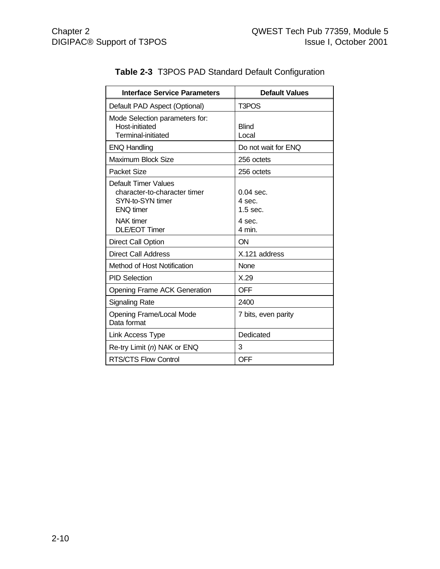| <b>Interface Service Parameters</b>                                                                 | <b>Default Values</b>               |
|-----------------------------------------------------------------------------------------------------|-------------------------------------|
| Default PAD Aspect (Optional)                                                                       | T3POS                               |
| Mode Selection parameters for:<br>Host-initiated<br><b>Terminal-initiated</b>                       | <b>Blind</b><br>Local               |
| <b>ENQ Handling</b>                                                                                 | Do not wait for ENQ                 |
| <b>Maximum Block Size</b>                                                                           | 256 octets                          |
| Packet Size                                                                                         | 256 octets                          |
| <b>Default Timer Values</b><br>character-to-character timer<br>SYN-to-SYN timer<br><b>ENQ timer</b> | $0.04$ sec.<br>4 sec.<br>$1.5$ sec. |
| <b>NAK</b> timer<br><b>DLE/EOT Timer</b>                                                            | 4 sec.<br>4 min.                    |
| <b>Direct Call Option</b>                                                                           | ON                                  |
| <b>Direct Call Address</b>                                                                          | X.121 address                       |
| Method of Host Notification                                                                         | <b>None</b>                         |
| <b>PID Selection</b>                                                                                | X.29                                |
| <b>Opening Frame ACK Generation</b>                                                                 | <b>OFF</b>                          |
| <b>Signaling Rate</b>                                                                               | 2400                                |
| <b>Opening Frame/Local Mode</b><br>Data format                                                      | 7 bits, even parity                 |
| Link Access Type                                                                                    | Dedicated                           |
| Re-try Limit (n) NAK or ENQ                                                                         | 3                                   |
| <b>RTS/CTS Flow Control</b>                                                                         | <b>OFF</b>                          |

#### **Table 2-3** T3POS PAD Standard Default Configuration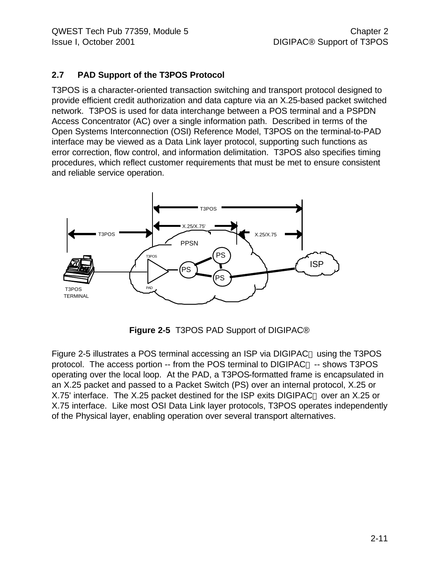#### **2.7 PAD Support of the T3POS Protocol**

T3POS is a character-oriented transaction switching and transport protocol designed to provide efficient credit authorization and data capture via an X.25-based packet switched network. T3POS is used for data interchange between a POS terminal and a PSPDN Access Concentrator (AC) over a single information path. Described in terms of the Open Systems Interconnection (OSI) Reference Model, T3POS on the terminal-to-PAD interface may be viewed as a Data Link layer protocol, supporting such functions as error correction, flow control, and information delimitation. T3POS also specifies timing procedures, which reflect customer requirements that must be met to ensure consistent and reliable service operation.



**Figure 2-5** T3POS PAD Support of DIGIPAC®

Figure 2-5 illustrates a POS terminal accessing an ISP via DIGIPAC<sup>®</sup> using the T3POS protocol. The access portion -- from the POS terminal to DIGIPAC<sup>®</sup> -- shows T3POS operating over the local loop. At the PAD, a T3POS-formatted frame is encapsulated in an X.25 packet and passed to a Packet Switch (PS) over an internal protocol, X.25 or X.75' interface. The X.25 packet destined for the ISP exits DIGIPAC<sup>®</sup> over an X.25 or X.75 interface. Like most OSI Data Link layer protocols, T3POS operates independently of the Physical layer, enabling operation over several transport alternatives.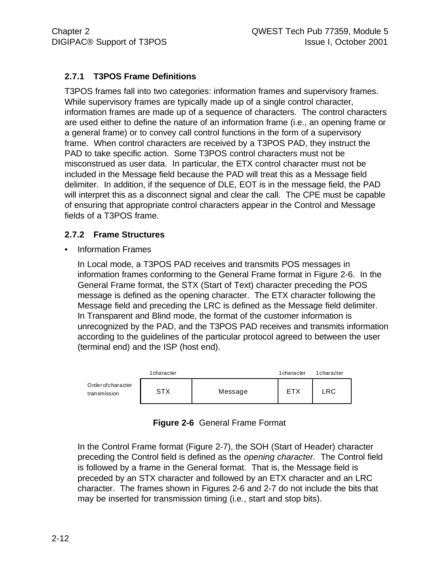#### **2.7.1 T3POS Frame Definitions**

T3POS frames fall into two categories: information frames and supervisory frames. While supervisory frames are typically made up of a single control character, information frames are made up of a sequence of characters. The control characters are used either to define the nature of an information frame (i.e., an opening frame or a general frame) or to convey call control functions in the form of a supervisory frame. When control characters are received by a T3POS PAD, they instruct the PAD to take specific action. Some T3POS control characters must not be misconstrued as user data. In particular, the ETX control character must not be included in the Message field because the PAD will treat this as a Message field delimiter. In addition, if the sequence of DLE, EOT is in the message field, the PAD will interpret this as a disconnect signal and clear the call. The CPE must be capable of ensuring that appropriate control characters appear in the Control and Message fields of a T3POS frame.

#### **2.7.2 Frame Structures**

• Information Frames

In Local mode, a T3POS PAD receives and transmits POS messages in information frames conforming to the General Frame format in Figure 2-6. In the General Frame format, the STX (Start of Text) character preceding the POS message is defined as the opening character. The ETX character following the Message field and preceding the LRC is defined as the Message field delimiter. In Transparent and Blind mode, the format of the customer information is unrecognized by the PAD, and the T3POS PAD receives and transmits information according to the guidelines of the particular protocol agreed to between the user (terminal end) and the ISP (host end).



| Figure 2-6 General Frame Format |  |
|---------------------------------|--|
|                                 |  |

In the Control Frame format (Figure 2-7), the SOH (Start of Header) character preceding the Control field is defined as the *opening character.* The Control field is followed by a frame in the General format. That is, the Message field is preceded by an STX character and followed by an ETX character and an LRC character. The frames shown in Figures 2-6 and 2-7 do not include the bits that may be inserted for transmission timing (i.e., start and stop bits).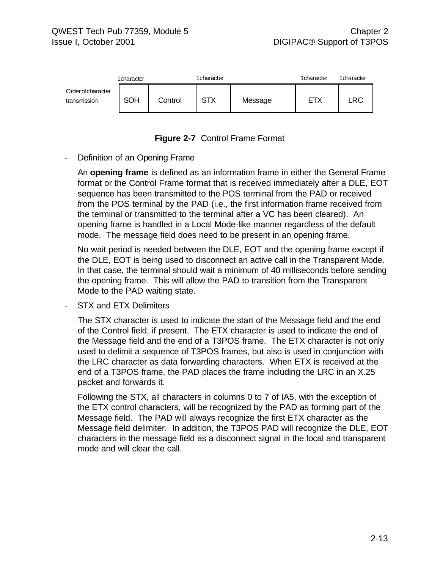



#### Definition of an Opening Frame

An **opening frame** is defined as an information frame in either the General Frame format or the Control Frame format that is received immediately after a DLE, EOT sequence has been transmitted to the POS terminal from the PAD or received from the POS terminal by the PAD (i.e., the first information frame received from the terminal or transmitted to the terminal after a VC has been cleared). An opening frame is handled in a Local Mode-like manner regardless of the default mode. The message field does need to be present in an opening frame.

No wait period is needed between the DLE, EOT and the opening frame except if the DLE, EOT is being used to disconnect an active call in the Transparent Mode. In that case, the terminal should wait a minimum of 40 milliseconds before sending the opening frame. This will allow the PAD to transition from the Transparent Mode to the PAD waiting state.

STX and ETX Delimiters

The STX character is used to indicate the start of the Message field and the end of the Control field, if present. The ETX character is used to indicate the end of the Message field and the end of a T3POS frame. The ETX character is not only used to delimit a sequence of T3POS frames, but also is used in conjunction with the LRC character as data forwarding characters. When ETX is received at the end of a T3POS frame, the PAD places the frame including the LRC in an X.25 packet and forwards it.

Following the STX, all characters in columns 0 to 7 of IA5, with the exception of the ETX control characters, will be recognized by the PAD as forming part of the Message field. The PAD will always recognize the first ETX character as the Message field delimiter. In addition, the T3POS PAD will recognize the DLE, EOT characters in the message field as a disconnect signal in the local and transparent mode and will clear the call.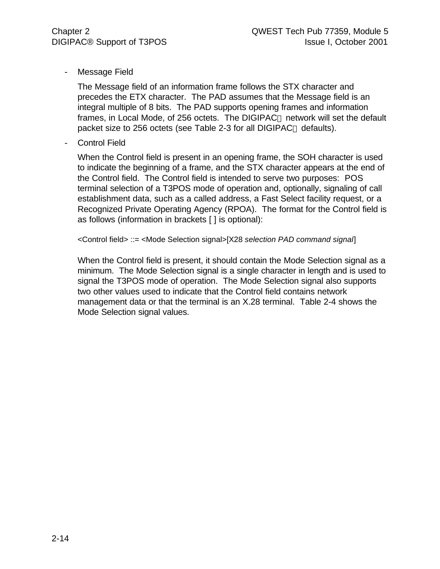- Message Field

The Message field of an information frame follows the STX character and precedes the ETX character. The PAD assumes that the Message field is an integral multiple of 8 bits. The PAD supports opening frames and information frames, in Local Mode, of 256 octets. The DIGIPAC<sup>®</sup> network will set the default packet size to 256 octets (see Table 2-3 for all DIGIPAC<sup>®</sup> defaults).

Control Field

When the Control field is present in an opening frame, the SOH character is used to indicate the beginning of a frame, and the STX character appears at the end of the Control field. The Control field is intended to serve two purposes: POS terminal selection of a T3POS mode of operation and, optionally, signaling of call establishment data, such as a called address, a Fast Select facility request, or a Recognized Private Operating Agency (RPOA). The format for the Control field is as follows (information in brackets [ ] is optional):

<Control field> ::= <Mode Selection signal>[X28 *selection PAD command signal*]

When the Control field is present, it should contain the Mode Selection signal as a minimum. The Mode Selection signal is a single character in length and is used to signal the T3POS mode of operation. The Mode Selection signal also supports two other values used to indicate that the Control field contains network management data or that the terminal is an X.28 terminal. Table 2-4 shows the Mode Selection signal values.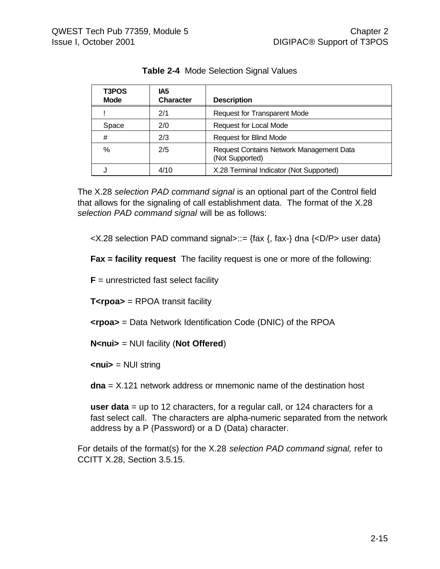| T3POS<br><b>Mode</b> | IA5<br><b>Character</b> | <b>Description</b>                                          |
|----------------------|-------------------------|-------------------------------------------------------------|
|                      | 2/1                     | <b>Request for Transparent Mode</b>                         |
| Space                | 2/0                     | Request for Local Mode                                      |
| #                    | 2/3                     | <b>Request for Blind Mode</b>                               |
| $\%$                 | 2/5                     | Request Contains Network Management Data<br>(Not Supported) |
|                      | 4/10                    | X.28 Terminal Indicator (Not Supported)                     |

**Table 2-4** Mode Selection Signal Values

The X.28 *selection PAD command signal* is an optional part of the Control field that allows for the signaling of call establishment data. The format of the X.28 *selection PAD command signal* will be as follows:

 $\langle X.28 \rangle$  selection PAD command signal>::= {fax {, fax-} dna { $\langle D/P \rangle$  user data}

**Fax = facility request** The facility request is one or more of the following:

 **unrestricted fast select facility** 

**T<rpoa>** = RPOA transit facility

**<rpoa>** = Data Network Identification Code (DNIC) of the RPOA

**N<nui>** = NUI facility (**Not Offered**)

**<nui>** = NUI string

**dna** = X.121 network address or mnemonic name of the destination host

**user data** = up to 12 characters, for a regular call, or 124 characters for a fast select call. The characters are alpha-numeric separated from the network address by a P (Password) or a D (Data) character.

For details of the format(s) for the X.28 *selection PAD command signal,* refer to CCITT X.28, Section 3.5.15.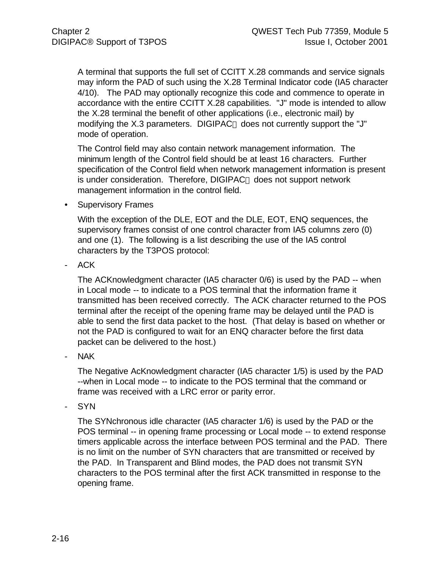A terminal that supports the full set of CCITT X.28 commands and service signals may inform the PAD of such using the X.28 Terminal Indicator code (IA5 character 4/10). The PAD may optionally recognize this code and commence to operate in accordance with the entire CCITT X.28 capabilities. "J" mode is intended to allow the X.28 terminal the benefit of other applications (i.e., electronic mail) by modifying the  $X.3$  parameters. DIGIPAC<sup>®</sup> does not currently support the "J" mode of operation.

The Control field may also contain network management information. The minimum length of the Control field should be at least 16 characters. Further specification of the Control field when network management information is present is under consideration. Therefore, DIGIPAC<sup>®</sup> does not support network management information in the control field.

• Supervisory Frames

With the exception of the DLE, EOT and the DLE, EOT, ENQ sequences, the supervisory frames consist of one control character from IA5 columns zero (0) and one (1). The following is a list describing the use of the IA5 control characters by the T3POS protocol:

ACK

The ACKnowledgment character (IA5 character 0/6) is used by the PAD -- when in Local mode -- to indicate to a POS terminal that the information frame it transmitted has been received correctly. The ACK character returned to the POS terminal after the receipt of the opening frame may be delayed until the PAD is able to send the first data packet to the host. (That delay is based on whether or not the PAD is configured to wait for an ENQ character before the first data packet can be delivered to the host.)

NAK

The Negative AcKnowledgment character (IA5 character 1/5) is used by the PAD --when in Local mode -- to indicate to the POS terminal that the command or frame was received with a LRC error or parity error.

- SYN

The SYNchronous idle character (IA5 character 1/6) is used by the PAD or the POS terminal -- in opening frame processing or Local mode -- to extend response timers applicable across the interface between POS terminal and the PAD. There is no limit on the number of SYN characters that are transmitted or received by the PAD. In Transparent and Blind modes, the PAD does not transmit SYN characters to the POS terminal after the first ACK transmitted in response to the opening frame.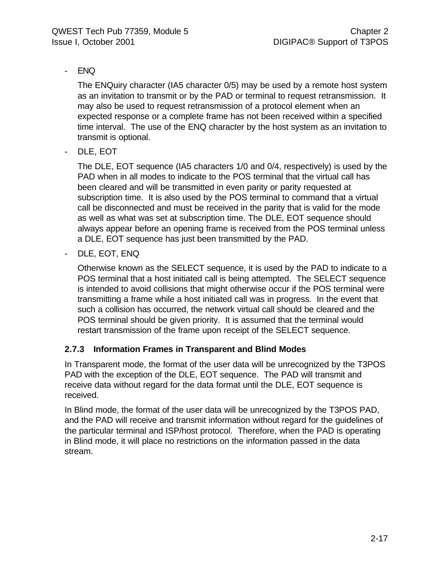#### - ENQ

The ENQuiry character (IA5 character 0/5) may be used by a remote host system as an invitation to transmit or by the PAD or terminal to request retransmission. It may also be used to request retransmission of a protocol element when an expected response or a complete frame has not been received within a specified time interval. The use of the ENQ character by the host system as an invitation to transmit is optional.

DLE, EOT

The DLE, EOT sequence (IA5 characters 1/0 and 0/4, respectively) is used by the PAD when in all modes to indicate to the POS terminal that the virtual call has been cleared and will be transmitted in even parity or parity requested at subscription time. It is also used by the POS terminal to command that a virtual call be disconnected and must be received in the parity that is valid for the mode as well as what was set at subscription time. The DLE, EOT sequence should always appear before an opening frame is received from the POS terminal unless a DLE, EOT sequence has just been transmitted by the PAD.

- DLE, EOT, ENQ

Otherwise known as the SELECT sequence, it is used by the PAD to indicate to a POS terminal that a host initiated call is being attempted. The SELECT sequence is intended to avoid collisions that might otherwise occur if the POS terminal were transmitting a frame while a host initiated call was in progress. In the event that such a collision has occurred, the network virtual call should be cleared and the POS terminal should be given priority. It is assumed that the terminal would restart transmission of the frame upon receipt of the SELECT sequence.

#### **2.7.3 Information Frames in Transparent and Blind Modes**

In Transparent mode, the format of the user data will be unrecognized by the T3POS PAD with the exception of the DLE, EOT sequence. The PAD will transmit and receive data without regard for the data format until the DLE, EOT sequence is received.

In Blind mode, the format of the user data will be unrecognized by the T3POS PAD, and the PAD will receive and transmit information without regard for the guidelines of the particular terminal and ISP/host protocol. Therefore, when the PAD is operating in Blind mode, it will place no restrictions on the information passed in the data stream.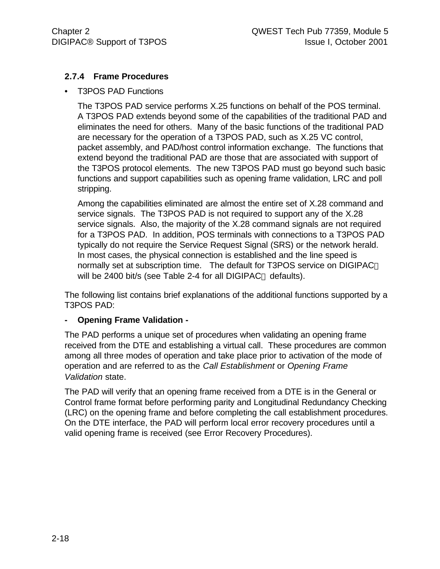#### **2.7.4 Frame Procedures**

• T3POS PAD Functions

The T3POS PAD service performs X.25 functions on behalf of the POS terminal. A T3POS PAD extends beyond some of the capabilities of the traditional PAD and eliminates the need for others. Many of the basic functions of the traditional PAD are necessary for the operation of a T3POS PAD, such as X.25 VC control, packet assembly, and PAD/host control information exchange. The functions that extend beyond the traditional PAD are those that are associated with support of the T3POS protocol elements. The new T3POS PAD must go beyond such basic functions and support capabilities such as opening frame validation, LRC and poll stripping.

Among the capabilities eliminated are almost the entire set of X.28 command and service signals. The T3POS PAD is not required to support any of the X.28 service signals. Also, the majority of the X.28 command signals are not required for a T3POS PAD. In addition, POS terminals with connections to a T3POS PAD typically do not require the Service Request Signal (SRS) or the network herald. In most cases, the physical connection is established and the line speed is normally set at subscription time. The default for T3POS service on DIGIPAC will be 2400 bit/s (see Table 2-4 for all DIGIPAC<sup>®</sup> defaults).

The following list contains brief explanations of the additional functions supported by a T3POS PAD:

#### **- Opening Frame Validation -**

The PAD performs a unique set of procedures when validating an opening frame received from the DTE and establishing a virtual call. These procedures are common among all three modes of operation and take place prior to activation of the mode of operation and are referred to as the *Call Establishment* or *Opening Frame Validation* state.

The PAD will verify that an opening frame received from a DTE is in the General or Control frame format before performing parity and Longitudinal Redundancy Checking (LRC) on the opening frame and before completing the call establishment procedures. On the DTE interface, the PAD will perform local error recovery procedures until a valid opening frame is received (see Error Recovery Procedures).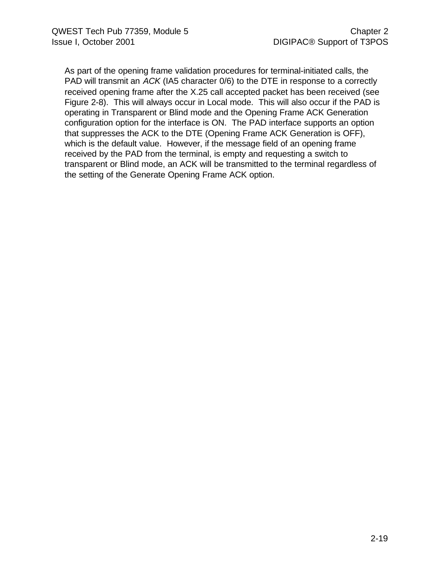As part of the opening frame validation procedures for terminal-initiated calls, the PAD will transmit an *ACK* (IA5 character 0/6) to the DTE in response to a correctly received opening frame after the X.25 call accepted packet has been received (see Figure 2-8). This will always occur in Local mode. This will also occur if the PAD is operating in Transparent or Blind mode and the Opening Frame ACK Generation configuration option for the interface is ON. The PAD interface supports an option that suppresses the ACK to the DTE (Opening Frame ACK Generation is OFF), which is the default value. However, if the message field of an opening frame received by the PAD from the terminal, is empty and requesting a switch to transparent or Blind mode, an ACK will be transmitted to the terminal regardless of the setting of the Generate Opening Frame ACK option.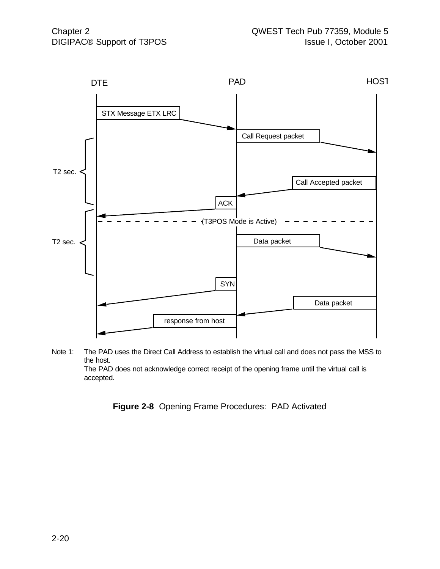

Note 1: The PAD uses the Direct Call Address to establish the virtual call and does not pass the MSS to the host. The PAD does not acknowledge correct receipt of the opening frame until the virtual call is accepted.

**Figure 2-8** Opening Frame Procedures: PAD Activated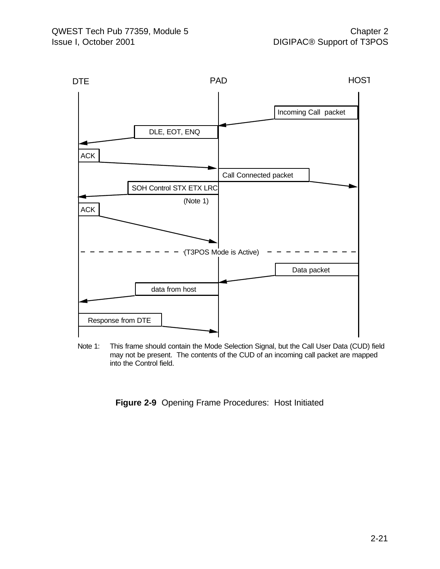

Note 1: This frame should contain the Mode Selection Signal, but the Call User Data (CUD) field may not be present. The contents of the CUD of an incoming call packet are mapped into the Control field.

**Figure 2-9** Opening Frame Procedures: Host Initiated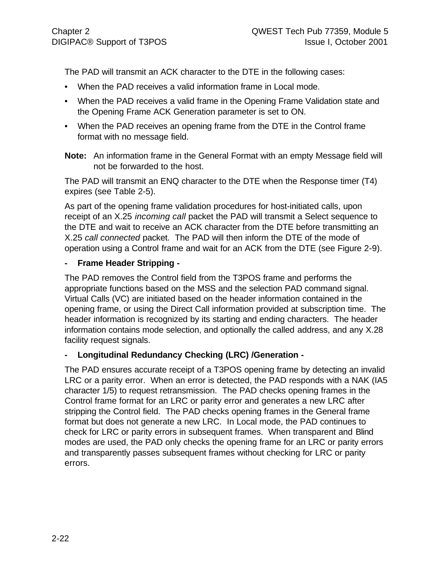The PAD will transmit an ACK character to the DTE in the following cases:

- When the PAD receives a valid information frame in Local mode.
- When the PAD receives a valid frame in the Opening Frame Validation state and the Opening Frame ACK Generation parameter is set to ON.
- When the PAD receives an opening frame from the DTE in the Control frame format with no message field.
- **Note:** An information frame in the General Format with an empty Message field will not be forwarded to the host.

The PAD will transmit an ENQ character to the DTE when the Response timer (T4) expires (see Table 2-5).

As part of the opening frame validation procedures for host-initiated calls, upon receipt of an X.25 *incoming call* packet the PAD will transmit a Select sequence to the DTE and wait to receive an ACK character from the DTE before transmitting an X.25 *call connected* packet. The PAD will then inform the DTE of the mode of operation using a Control frame and wait for an ACK from the DTE (see Figure 2-9).

#### **- Frame Header Stripping -**

The PAD removes the Control field from the T3POS frame and performs the appropriate functions based on the MSS and the selection PAD command signal. Virtual Calls (VC) are initiated based on the header information contained in the opening frame, or using the Direct Call information provided at subscription time. The header information is recognized by its starting and ending characters. The header information contains mode selection, and optionally the called address, and any X.28 facility request signals.

#### **- Longitudinal Redundancy Checking (LRC) /Generation -**

The PAD ensures accurate receipt of a T3POS opening frame by detecting an invalid LRC or a parity error. When an error is detected, the PAD responds with a NAK (IA5 character 1/5) to request retransmission. The PAD checks opening frames in the Control frame format for an LRC or parity error and generates a new LRC after stripping the Control field. The PAD checks opening frames in the General frame format but does not generate a new LRC. In Local mode, the PAD continues to check for LRC or parity errors in subsequent frames. When transparent and Blind modes are used, the PAD only checks the opening frame for an LRC or parity errors and transparently passes subsequent frames without checking for LRC or parity errors.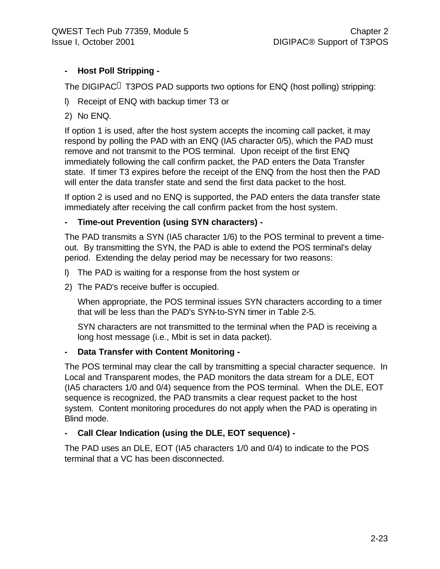#### **- Host Poll Stripping -**

The DIGIPAC<sup>®</sup> T3POS PAD supports two options for ENQ (host polling) stripping:

- l) Receipt of ENQ with backup timer T3 or
- 2) No ENQ.

If option 1 is used, after the host system accepts the incoming call packet, it may respond by polling the PAD with an ENQ (IA5 character 0/5), which the PAD must remove and not transmit to the POS terminal. Upon receipt of the first ENQ immediately following the call confirm packet, the PAD enters the Data Transfer state. If timer T3 expires before the receipt of the ENQ from the host then the PAD will enter the data transfer state and send the first data packet to the host.

If option 2 is used and no ENQ is supported, the PAD enters the data transfer state immediately after receiving the call confirm packet from the host system.

#### **- Time-out Prevention (using SYN characters) -**

The PAD transmits a SYN (IA5 character 1/6) to the POS terminal to prevent a timeout. By transmitting the SYN, the PAD is able to extend the POS terminal's delay period. Extending the delay period may be necessary for two reasons:

- l) The PAD is waiting for a response from the host system or
- 2) The PAD's receive buffer is occupied.

When appropriate, the POS terminal issues SYN characters according to a timer that will be less than the PAD's SYN-to-SYN timer in Table 2-5.

SYN characters are not transmitted to the terminal when the PAD is receiving a long host message (i.e., Mbit is set in data packet).

#### **- Data Transfer with Content Monitoring -**

The POS terminal may clear the call by transmitting a special character sequence. In Local and Transparent modes, the PAD monitors the data stream for a DLE, EOT (IA5 characters 1/0 and 0/4) sequence from the POS terminal. When the DLE, EOT sequence is recognized, the PAD transmits a clear request packet to the host system. Content monitoring procedures do not apply when the PAD is operating in Blind mode.

#### **- Call Clear Indication (using the DLE, EOT sequence) -**

The PAD uses an DLE, EOT (IA5 characters 1/0 and 0/4) to indicate to the POS terminal that a VC has been disconnected.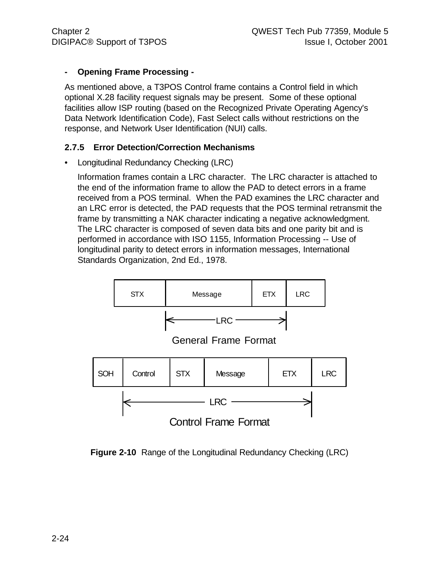#### **- Opening Frame Processing -**

As mentioned above, a T3POS Control frame contains a Control field in which optional X.28 facility request signals may be present. Some of these optional facilities allow ISP routing (based on the Recognized Private Operating Agency's Data Network Identification Code), Fast Select calls without restrictions on the response, and Network User Identification (NUI) calls.

#### **2.7.5 Error Detection/Correction Mechanisms**

• Longitudinal Redundancy Checking (LRC)

Information frames contain a LRC character. The LRC character is attached to the end of the information frame to allow the PAD to detect errors in a frame received from a POS terminal. When the PAD examines the LRC character and an LRC error is detected, the PAD requests that the POS terminal retransmit the frame by transmitting a NAK character indicating a negative acknowledgment. The LRC character is composed of seven data bits and one parity bit and is performed in accordance with ISO 1155, Information Processing -- Use of longitudinal parity to detect errors in information messages, International Standards Organization, 2nd Ed., 1978.

![](_page_34_Figure_7.jpeg)

**Figure 2-10** Range of the Longitudinal Redundancy Checking (LRC)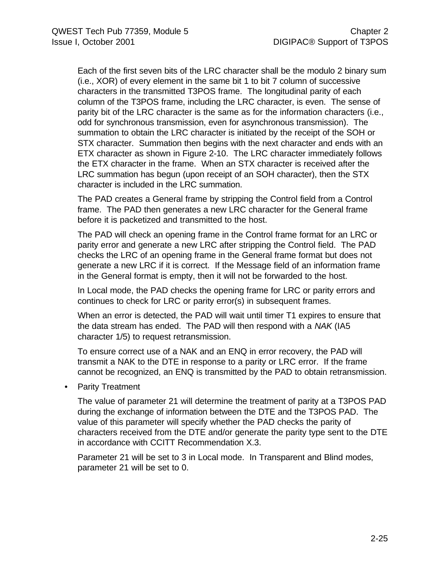Each of the first seven bits of the LRC character shall be the modulo 2 binary sum (i.e., XOR) of every element in the same bit 1 to bit 7 column of successive characters in the transmitted T3POS frame. The longitudinal parity of each column of the T3POS frame, including the LRC character, is even. The sense of parity bit of the LRC character is the same as for the information characters (i.e., odd for synchronous transmission, even for asynchronous transmission). The summation to obtain the LRC character is initiated by the receipt of the SOH or STX character. Summation then begins with the next character and ends with an ETX character as shown in Figure 2-10. The LRC character immediately follows the ETX character in the frame. When an STX character is received after the LRC summation has begun (upon receipt of an SOH character), then the STX character is included in the LRC summation.

The PAD creates a General frame by stripping the Control field from a Control frame. The PAD then generates a new LRC character for the General frame before it is packetized and transmitted to the host.

The PAD will check an opening frame in the Control frame format for an LRC or parity error and generate a new LRC after stripping the Control field. The PAD checks the LRC of an opening frame in the General frame format but does not generate a new LRC if it is correct. If the Message field of an information frame in the General format is empty, then it will not be forwarded to the host.

In Local mode, the PAD checks the opening frame for LRC or parity errors and continues to check for LRC or parity error(s) in subsequent frames.

When an error is detected, the PAD will wait until timer T1 expires to ensure that the data stream has ended. The PAD will then respond with a *NAK* (IA5 character 1/5) to request retransmission.

To ensure correct use of a NAK and an ENQ in error recovery, the PAD will transmit a NAK to the DTE in response to a parity or LRC error. If the frame cannot be recognized, an ENQ is transmitted by the PAD to obtain retransmission.

• Parity Treatment

The value of parameter 21 will determine the treatment of parity at a T3POS PAD during the exchange of information between the DTE and the T3POS PAD. The value of this parameter will specify whether the PAD checks the parity of characters received from the DTE and/or generate the parity type sent to the DTE in accordance with CCITT Recommendation X.3.

Parameter 21 will be set to 3 in Local mode. In Transparent and Blind modes, parameter 21 will be set to 0.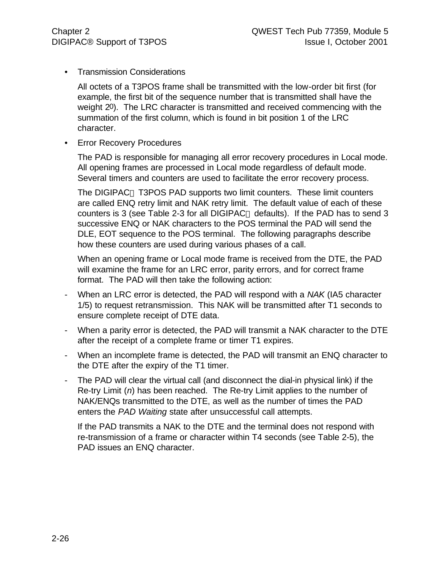• Transmission Considerations

All octets of a T3POS frame shall be transmitted with the low-order bit first (for example, the first bit of the sequence number that is transmitted shall have the weight 20). The LRC character is transmitted and received commencing with the summation of the first column, which is found in bit position 1 of the LRC character.

• Error Recovery Procedures

The PAD is responsible for managing all error recovery procedures in Local mode. All opening frames are processed in Local mode regardless of default mode. Several timers and counters are used to facilitate the error recovery process.

The DIGIPAC<sup>®</sup> T3POS PAD supports two limit counters. These limit counters are called ENQ retry limit and NAK retry limit. The default value of each of these counters is 3 (see Table 2-3 for all DIGIPAC<sup>®</sup> defaults). If the PAD has to send 3 successive ENQ or NAK characters to the POS terminal the PAD will send the DLE, EOT sequence to the POS terminal. The following paragraphs describe how these counters are used during various phases of a call.

When an opening frame or Local mode frame is received from the DTE, the PAD will examine the frame for an LRC error, parity errors, and for correct frame format. The PAD will then take the following action:

- When an LRC error is detected, the PAD will respond with a *NAK* (IA5 character 1/5) to request retransmission. This NAK will be transmitted after T1 seconds to ensure complete receipt of DTE data.
- When a parity error is detected, the PAD will transmit a NAK character to the DTE after the receipt of a complete frame or timer T1 expires.
- When an incomplete frame is detected, the PAD will transmit an ENQ character to the DTE after the expiry of the T1 timer.
- The PAD will clear the virtual call (and disconnect the dial-in physical link) if the Re-try Limit (*n*) has been reached. The Re-try Limit applies to the number of NAK/ENQs transmitted to the DTE, as well as the number of times the PAD enters the *PAD Waiting* state after unsuccessful call attempts.

If the PAD transmits a NAK to the DTE and the terminal does not respond with re-transmission of a frame or character within T4 seconds (see Table 2-5), the PAD issues an ENQ character.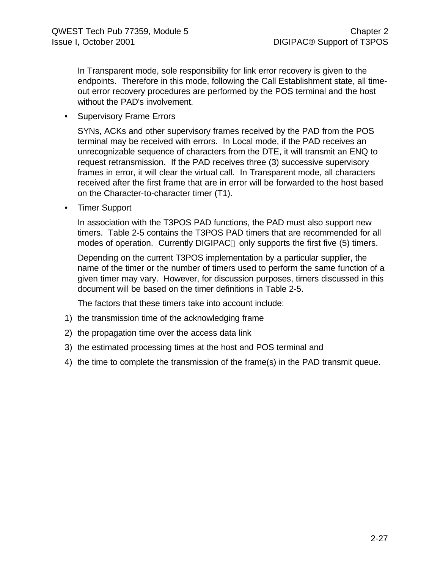In Transparent mode, sole responsibility for link error recovery is given to the endpoints. Therefore in this mode, following the Call Establishment state, all timeout error recovery procedures are performed by the POS terminal and the host without the PAD's involvement.

• Supervisory Frame Errors

SYNs, ACKs and other supervisory frames received by the PAD from the POS terminal may be received with errors. In Local mode, if the PAD receives an unrecognizable sequence of characters from the DTE, it will transmit an ENQ to request retransmission. If the PAD receives three (3) successive supervisory frames in error, it will clear the virtual call. In Transparent mode, all characters received after the first frame that are in error will be forwarded to the host based on the Character-to-character timer (T1).

• Timer Support

In association with the T3POS PAD functions, the PAD must also support new timers. Table 2-5 contains the T3POS PAD timers that are recommended for all modes of operation. Currently DIGIPAC<sup>®</sup> only supports the first five (5) timers.

Depending on the current T3POS implementation by a particular supplier, the name of the timer or the number of timers used to perform the same function of a given timer may vary. However, for discussion purposes, timers discussed in this document will be based on the timer definitions in Table 2-5.

The factors that these timers take into account include:

- 1) the transmission time of the acknowledging frame
- 2) the propagation time over the access data link
- 3) the estimated processing times at the host and POS terminal and
- 4) the time to complete the transmission of the frame(s) in the PAD transmit queue.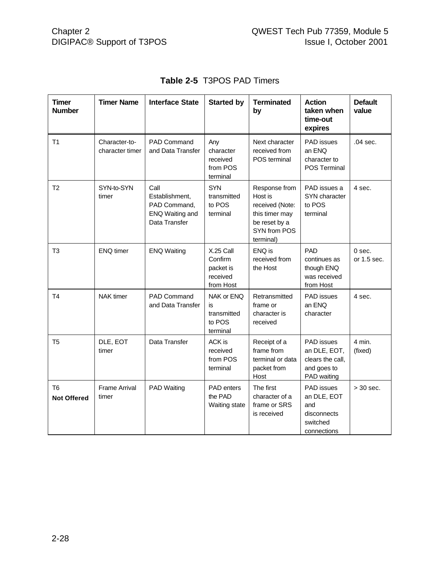| <b>Timer</b><br><b>Number</b>        | <b>Timer Name</b>                | <b>Interface State</b>                                                     | <b>Started by</b>                                          | <b>Terminated</b><br>by                                                                                     | <b>Action</b><br>taken when<br>time-out<br>expires                                  | <b>Default</b><br>value |
|--------------------------------------|----------------------------------|----------------------------------------------------------------------------|------------------------------------------------------------|-------------------------------------------------------------------------------------------------------------|-------------------------------------------------------------------------------------|-------------------------|
| T <sub>1</sub>                       | Character-to-<br>character timer | PAD Command<br>and Data Transfer                                           | Any<br>character<br>received<br>from POS<br>terminal       | Next character<br>received from<br>POS terminal                                                             | PAD issues<br>an ENQ<br>character to<br>POS Terminal                                | .04 sec.                |
| T <sub>2</sub>                       | SYN-to-SYN<br>timer              | Call<br>Establishment,<br>PAD Command,<br>ENQ Waiting and<br>Data Transfer | <b>SYN</b><br>transmitted<br>to POS<br>terminal            | Response from<br>Host is<br>received (Note:<br>this timer may<br>be reset by a<br>SYN from POS<br>terminal) | PAD issues a<br>SYN character<br>to POS<br>terminal                                 | 4 sec.                  |
| T <sub>3</sub>                       | <b>ENQ</b> timer                 | <b>ENQ Waiting</b>                                                         | X.25 Call<br>Confirm<br>packet is<br>received<br>from Host | ENQ is<br>received from<br>the Host                                                                         | <b>PAD</b><br>continues as<br>though ENQ<br>was received<br>from Host               | $0$ sec.<br>or 1.5 sec. |
| T <sub>4</sub>                       | <b>NAK</b> timer                 | PAD Command<br>and Data Transfer                                           | NAK or ENQ<br>is<br>transmitted<br>to POS<br>terminal      | Retransmitted<br>frame or<br>character is<br>received                                                       | PAD issues<br>an ENQ<br>character                                                   | 4 sec.                  |
| T5                                   | DLE, EOT<br>timer                | Data Transfer                                                              | ACK is<br>received<br>from POS<br>terminal                 | Receipt of a<br>frame from<br>terminal or data<br>packet from<br>Host                                       | <b>PAD</b> issues<br>an DLE, EOT,<br>clears the call,<br>and goes to<br>PAD waiting | 4 min.<br>(fixed)       |
| T <sub>6</sub><br><b>Not Offered</b> | <b>Frame Arrival</b><br>timer    | PAD Waiting                                                                | PAD enters<br>the PAD<br>Waiting state                     | The first<br>character of a<br>frame or SRS<br>is received                                                  | PAD issues<br>an DLE, EOT<br>and<br>disconnects<br>switched<br>connections          | $>$ 30 sec.             |

# **Table 2-5** T3POS PAD Timers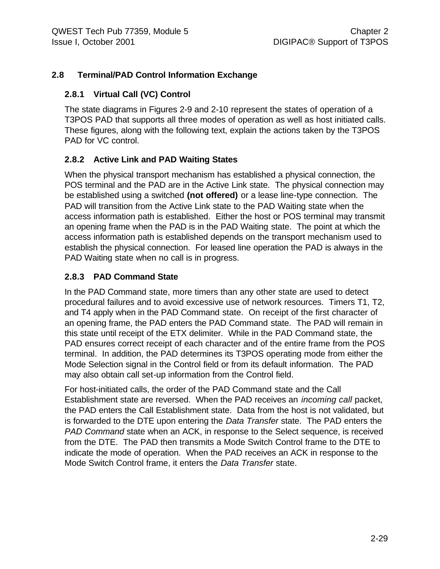# **2.8 Terminal/PAD Control Information Exchange**

## **2.8.1 Virtual Call (VC) Control**

The state diagrams in Figures 2-9 and 2-10 represent the states of operation of a T3POS PAD that supports all three modes of operation as well as host initiated calls. These figures, along with the following text, explain the actions taken by the T3POS PAD for VC control.

# **2.8.2 Active Link and PAD Waiting States**

When the physical transport mechanism has established a physical connection, the POS terminal and the PAD are in the Active Link state. The physical connection may be established using a switched **(not offered)** or a lease line-type connection. The PAD will transition from the Active Link state to the PAD Waiting state when the access information path is established. Either the host or POS terminal may transmit an opening frame when the PAD is in the PAD Waiting state. The point at which the access information path is established depends on the transport mechanism used to establish the physical connection. For leased line operation the PAD is always in the PAD Waiting state when no call is in progress.

# **2.8.3 PAD Command State**

In the PAD Command state, more timers than any other state are used to detect procedural failures and to avoid excessive use of network resources. Timers T1, T2, and T4 apply when in the PAD Command state. On receipt of the first character of an opening frame, the PAD enters the PAD Command state. The PAD will remain in this state until receipt of the ETX delimiter. While in the PAD Command state, the PAD ensures correct receipt of each character and of the entire frame from the POS terminal. In addition, the PAD determines its T3POS operating mode from either the Mode Selection signal in the Control field or from its default information. The PAD may also obtain call set-up information from the Control field.

For host-initiated calls, the order of the PAD Command state and the Call Establishment state are reversed. When the PAD receives an *incoming call* packet, the PAD enters the Call Establishment state. Data from the host is not validated, but is forwarded to the DTE upon entering the *Data Transfer* state. The PAD enters the *PAD Command* state when an ACK, in response to the Select sequence, is received from the DTE. The PAD then transmits a Mode Switch Control frame to the DTE to indicate the mode of operation. When the PAD receives an ACK in response to the Mode Switch Control frame, it enters the *Data Transfer* state.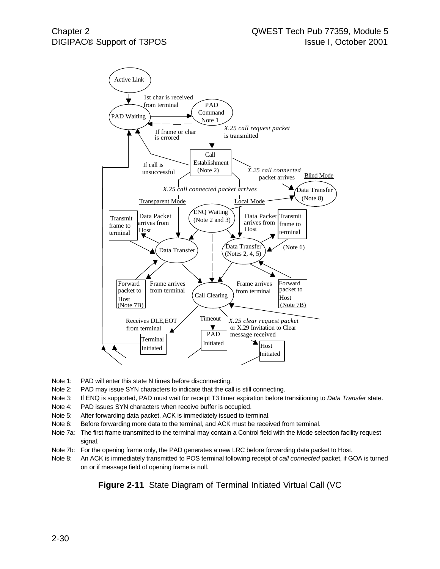

- Note 1: PAD will enter this state N times before disconnecting.
- Note 2: PAD may issue SYN characters to indicate that the call is still connecting.
- Note 3: If ENQ is supported, PAD must wait for receipt T3 timer expiration before transitioning to *Data Transfer* state.
- Note 4: PAD issues SYN characters when receive buffer is occupied.
- Note 5: After forwarding data packet, ACK is immediately issued to terminal.
- Note 6: Before forwarding more data to the terminal, and ACK must be received from terminal.
- Note 7a: The first frame transmitted to the terminal may contain a Control field with the Mode selection facility request signal.
- Note 7b: For the opening frame only, the PAD generates a new LRC before forwarding data packet to Host.
- Note 8: An ACK is immediately transmitted to POS terminal following receipt of *call connected* packet, if GOA is turned on or if message field of opening frame is null.

**Figure 2-11** State Diagram of Terminal Initiated Virtual Call (VC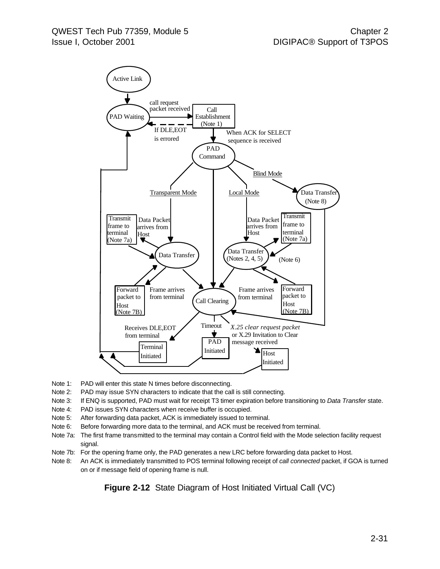

- Note 1: PAD will enter this state N times before disconnecting.
- Note 2: PAD may issue SYN characters to indicate that the call is still connecting.
- Note 3: If ENQ is supported, PAD must wait for receipt T3 timer expiration before transitioning to *Data Transfer* state.
- Note 4: PAD issues SYN characters when receive buffer is occupied.
- Note 5: After forwarding data packet, ACK is immediately issued to terminal.
- Note 6: Before forwarding more data to the terminal, and ACK must be received from terminal.
- Note 7a: The first frame transmitted to the terminal may contain a Control field with the Mode selection facility request signal.
- Note 7b: For the opening frame only, the PAD generates a new LRC before forwarding data packet to Host.
- Note 8: An ACK is immediately transmitted to POS terminal following receipt of *call connected* packet, if GOA is turned on or if message field of opening frame is null.

**Figure 2-12** State Diagram of Host Initiated Virtual Call (VC)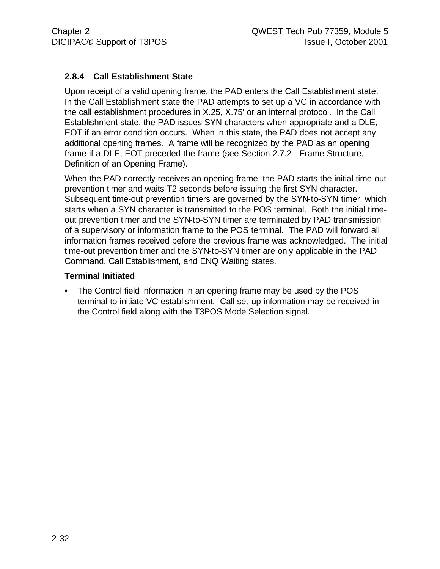# **2.8.4 Call Establishment State**

Upon receipt of a valid opening frame, the PAD enters the Call Establishment state. In the Call Establishment state the PAD attempts to set up a VC in accordance with the call establishment procedures in X.25, X.75' or an internal protocol. In the Call Establishment state, the PAD issues SYN characters when appropriate and a DLE, EOT if an error condition occurs. When in this state, the PAD does not accept any additional opening frames. A frame will be recognized by the PAD as an opening frame if a DLE, EOT preceded the frame (see Section 2.7.2 - Frame Structure, Definition of an Opening Frame).

When the PAD correctly receives an opening frame, the PAD starts the initial time-out prevention timer and waits T2 seconds before issuing the first SYN character. Subsequent time-out prevention timers are governed by the SYN-to-SYN timer, which starts when a SYN character is transmitted to the POS terminal. Both the initial timeout prevention timer and the SYN-to-SYN timer are terminated by PAD transmission of a supervisory or information frame to the POS terminal. The PAD will forward all information frames received before the previous frame was acknowledged. The initial time-out prevention timer and the SYN-to-SYN timer are only applicable in the PAD Command, Call Establishment, and ENQ Waiting states.

#### **Terminal Initiated**

• The Control field information in an opening frame may be used by the POS terminal to initiate VC establishment. Call set-up information may be received in the Control field along with the T3POS Mode Selection signal.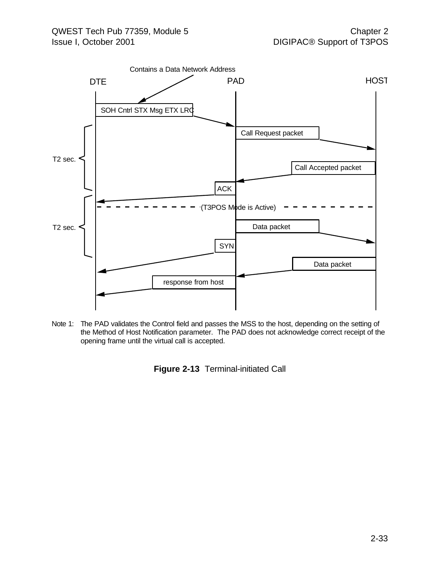

Note 1: The PAD validates the Control field and passes the MSS to the host, depending on the setting of the Method of Host Notification parameter. The PAD does not acknowledge correct receipt of the opening frame until the virtual call is accepted.

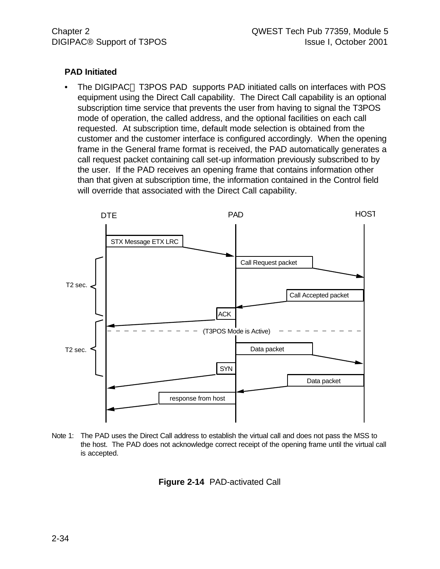#### **PAD Initiated**

The DIGIPAC<sup>®</sup> T3POS PAD supports PAD initiated calls on interfaces with POS equipment using the Direct Call capability. The Direct Call capability is an optional subscription time service that prevents the user from having to signal the T3POS mode of operation, the called address, and the optional facilities on each call requested. At subscription time, default mode selection is obtained from the customer and the customer interface is configured accordingly. When the opening frame in the General frame format is received, the PAD automatically generates a call request packet containing call set-up information previously subscribed to by the user. If the PAD receives an opening frame that contains information other than that given at subscription time, the information contained in the Control field will override that associated with the Direct Call capability.



Note 1: The PAD uses the Direct Call address to establish the virtual call and does not pass the MSS to the host. The PAD does not acknowledge correct receipt of the opening frame until the virtual call is accepted.

**Figure 2-14** PAD-activated Call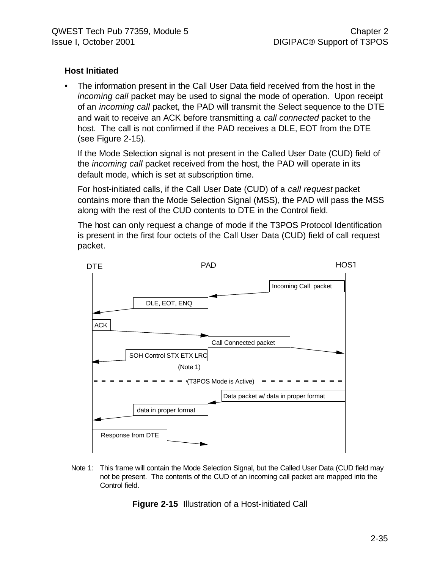## **Host Initiated**

• The information present in the Call User Data field received from the host in the *incoming call* packet may be used to signal the mode of operation. Upon receipt of an *incoming call* packet, the PAD will transmit the Select sequence to the DTE and wait to receive an ACK before transmitting a *call connected* packet to the host. The call is not confirmed if the PAD receives a DLE, EOT from the DTE (see Figure 2-15).

If the Mode Selection signal is not present in the Called User Date (CUD) field of the *incoming call* packet received from the host, the PAD will operate in its default mode, which is set at subscription time.

For host-initiated calls, if the Call User Date (CUD) of a *call request* packet contains more than the Mode Selection Signal (MSS), the PAD will pass the MSS along with the rest of the CUD contents to DTE in the Control field.

The host can only request a change of mode if the T3POS Protocol Identification is present in the first four octets of the Call User Data (CUD) field of call request packet.



Note 1: This frame will contain the Mode Selection Signal, but the Called User Data (CUD field may not be present. The contents of the CUD of an incoming call packet are mapped into the Control field.

**Figure 2-15** Illustration of a Host-initiated Call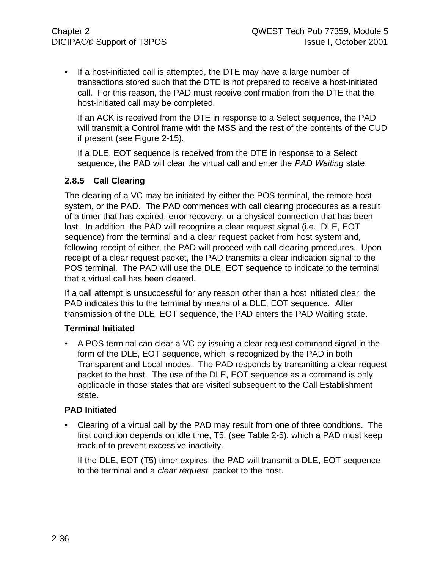• If a host-initiated call is attempted, the DTE may have a large number of transactions stored such that the DTE is not prepared to receive a host-initiated call. For this reason, the PAD must receive confirmation from the DTE that the host-initiated call may be completed.

If an ACK is received from the DTE in response to a Select sequence, the PAD will transmit a Control frame with the MSS and the rest of the contents of the CUD if present (see Figure 2-15).

If a DLE, EOT sequence is received from the DTE in response to a Select sequence, the PAD will clear the virtual call and enter the *PAD Waiting* state.

# **2.8.5 Call Clearing**

The clearing of a VC may be initiated by either the POS terminal, the remote host system, or the PAD. The PAD commences with call clearing procedures as a result of a timer that has expired, error recovery, or a physical connection that has been lost. In addition, the PAD will recognize a clear request signal (i.e., DLE, EOT sequence) from the terminal and a clear request packet from host system and, following receipt of either, the PAD will proceed with call clearing procedures. Upon receipt of a clear request packet, the PAD transmits a clear indication signal to the POS terminal. The PAD will use the DLE, EOT sequence to indicate to the terminal that a virtual call has been cleared.

If a call attempt is unsuccessful for any reason other than a host initiated clear, the PAD indicates this to the terminal by means of a DLE, EOT sequence. After transmission of the DLE, EOT sequence, the PAD enters the PAD Waiting state.

#### **Terminal Initiated**

• A POS terminal can clear a VC by issuing a clear request command signal in the form of the DLE, EOT sequence, which is recognized by the PAD in both Transparent and Local modes. The PAD responds by transmitting a clear request packet to the host. The use of the DLE, EOT sequence as a command is only applicable in those states that are visited subsequent to the Call Establishment state.

#### **PAD Initiated**

• Clearing of a virtual call by the PAD may result from one of three conditions. The first condition depends on idle time, T5, (see Table 2-5), which a PAD must keep track of to prevent excessive inactivity.

If the DLE, EOT (T5) timer expires, the PAD will transmit a DLE, EOT sequence to the terminal and a *clear request* packet to the host.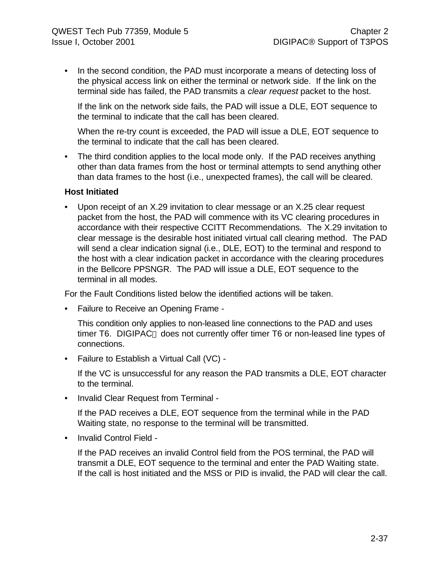• In the second condition, the PAD must incorporate a means of detecting loss of the physical access link on either the terminal or network side. If the link on the terminal side has failed, the PAD transmits a *clear request* packet to the host.

If the link on the network side fails, the PAD will issue a DLE, EOT sequence to the terminal to indicate that the call has been cleared.

When the re-try count is exceeded, the PAD will issue a DLE, EOT sequence to the terminal to indicate that the call has been cleared.

• The third condition applies to the local mode only. If the PAD receives anything other than data frames from the host or terminal attempts to send anything other than data frames to the host (i.e., unexpected frames), the call will be cleared.

#### **Host Initiated**

• Upon receipt of an X.29 invitation to clear message or an X.25 clear request packet from the host, the PAD will commence with its VC clearing procedures in accordance with their respective CCITT Recommendations. The X.29 invitation to clear message is the desirable host initiated virtual call clearing method. The PAD will send a clear indication signal (i.e., DLE, EOT) to the terminal and respond to the host with a clear indication packet in accordance with the clearing procedures in the Bellcore PPSNGR. The PAD will issue a DLE, EOT sequence to the terminal in all modes.

For the Fault Conditions listed below the identified actions will be taken.

• Failure to Receive an Opening Frame -

This condition only applies to non-leased line connections to the PAD and uses timer T6. DIGIPAC<sup>®</sup> does not currently offer timer T6 or non-leased line types of connections.

• Failure to Establish a Virtual Call (VC) -

If the VC is unsuccessful for any reason the PAD transmits a DLE, EOT character to the terminal.

• Invalid Clear Request from Terminal -

If the PAD receives a DLE, EOT sequence from the terminal while in the PAD Waiting state, no response to the terminal will be transmitted.

• Invalid Control Field -

If the PAD receives an invalid Control field from the POS terminal, the PAD will transmit a DLE, EOT sequence to the terminal and enter the PAD Waiting state. If the call is host initiated and the MSS or PID is invalid, the PAD will clear the call.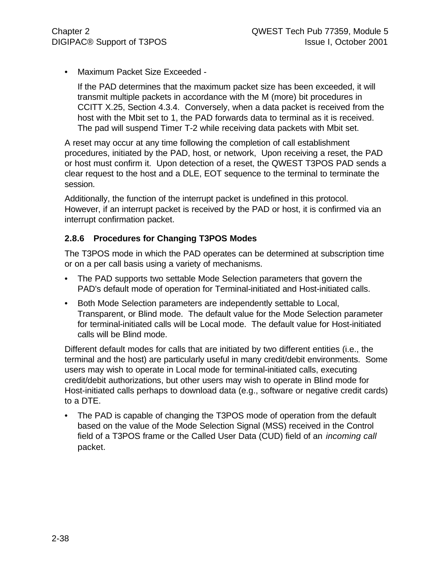• Maximum Packet Size Exceeded -

If the PAD determines that the maximum packet size has been exceeded, it will transmit multiple packets in accordance with the M (more) bit procedures in CCITT X.25, Section 4.3.4. Conversely, when a data packet is received from the host with the Mbit set to 1, the PAD forwards data to terminal as it is received. The pad will suspend Timer T-2 while receiving data packets with Mbit set.

A reset may occur at any time following the completion of call establishment procedures, initiated by the PAD, host, or network, Upon receiving a reset, the PAD or host must confirm it. Upon detection of a reset, the QWEST T3POS PAD sends a clear request to the host and a DLE, EOT sequence to the terminal to terminate the session.

Additionally, the function of the interrupt packet is undefined in this protocol. However, if an interrupt packet is received by the PAD or host, it is confirmed via an interrupt confirmation packet.

# **2.8.6 Procedures for Changing T3POS Modes**

The T3POS mode in which the PAD operates can be determined at subscription time or on a per call basis using a variety of mechanisms.

- The PAD supports two settable Mode Selection parameters that govern the PAD's default mode of operation for Terminal-initiated and Host-initiated calls.
- Both Mode Selection parameters are independently settable to Local, Transparent, or Blind mode. The default value for the Mode Selection parameter for terminal-initiated calls will be Local mode. The default value for Host-initiated calls will be Blind mode.

Different default modes for calls that are initiated by two different entities (i.e., the terminal and the host) are particularly useful in many credit/debit environments. Some users may wish to operate in Local mode for terminal-initiated calls, executing credit/debit authorizations, but other users may wish to operate in Blind mode for Host-initiated calls perhaps to download data (e.g., software or negative credit cards) to a DTE.

• The PAD is capable of changing the T3POS mode of operation from the default based on the value of the Mode Selection Signal (MSS) received in the Control field of a T3POS frame or the Called User Data (CUD) field of an *incoming call* packet.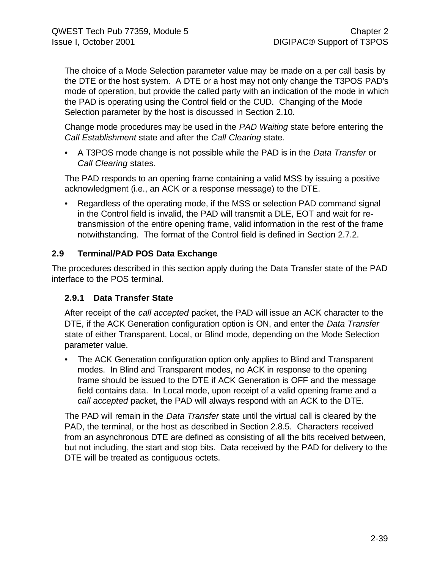The choice of a Mode Selection parameter value may be made on a per call basis by the DTE or the host system. A DTE or a host may not only change the T3POS PAD's mode of operation, but provide the called party with an indication of the mode in which the PAD is operating using the Control field or the CUD. Changing of the Mode Selection parameter by the host is discussed in Section 2.10.

Change mode procedures may be used in the *PAD Waiting* state before entering the *Call Establishment* state and after the *Call Clearing* state.

• A T3POS mode change is not possible while the PAD is in the *Data Transfer* or *Call Clearing* states.

The PAD responds to an opening frame containing a valid MSS by issuing a positive acknowledgment (i.e., an ACK or a response message) to the DTE.

• Regardless of the operating mode, if the MSS or selection PAD command signal in the Control field is invalid, the PAD will transmit a DLE, EOT and wait for retransmission of the entire opening frame, valid information in the rest of the frame notwithstanding. The format of the Control field is defined in Section 2.7.2.

# **2.9 Terminal/PAD POS Data Exchange**

The procedures described in this section apply during the Data Transfer state of the PAD interface to the POS terminal.

# **2.9.1 Data Transfer State**

After receipt of the *call accepted* packet, the PAD will issue an ACK character to the DTE, if the ACK Generation configuration option is ON, and enter the *Data Transfer* state of either Transparent, Local, or Blind mode, depending on the Mode Selection parameter value.

• The ACK Generation configuration option only applies to Blind and Transparent modes. In Blind and Transparent modes, no ACK in response to the opening frame should be issued to the DTE if ACK Generation is OFF and the message field contains data. In Local mode, upon receipt of a valid opening frame and a *call accepted* packet, the PAD will always respond with an ACK to the DTE.

The PAD will remain in the *Data Transfer* state until the virtual call is cleared by the PAD, the terminal, or the host as described in Section 2.8.5. Characters received from an asynchronous DTE are defined as consisting of all the bits received between, but not including, the start and stop bits. Data received by the PAD for delivery to the DTE will be treated as contiguous octets.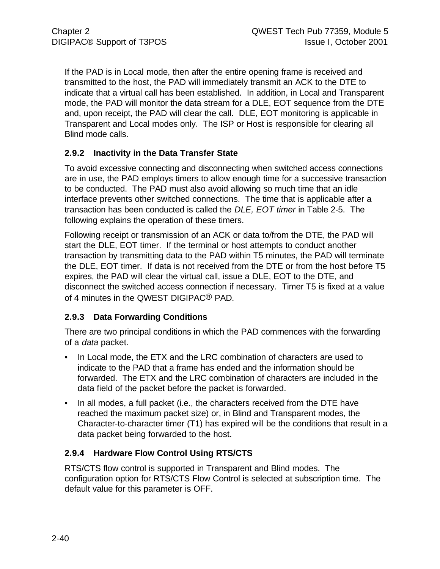If the PAD is in Local mode, then after the entire opening frame is received and transmitted to the host, the PAD will immediately transmit an ACK to the DTE to indicate that a virtual call has been established. In addition, in Local and Transparent mode, the PAD will monitor the data stream for a DLE, EOT sequence from the DTE and, upon receipt, the PAD will clear the call. DLE, EOT monitoring is applicable in Transparent and Local modes only. The ISP or Host is responsible for clearing all Blind mode calls.

# **2.9.2 Inactivity in the Data Transfer State**

To avoid excessive connecting and disconnecting when switched access connections are in use, the PAD employs timers to allow enough time for a successive transaction to be conducted. The PAD must also avoid allowing so much time that an idle interface prevents other switched connections. The time that is applicable after a transaction has been conducted is called the *DLE, EOT timer* in Table 2-5. The following explains the operation of these timers.

Following receipt or transmission of an ACK or data to/from the DTE, the PAD will start the DLE, EOT timer. If the terminal or host attempts to conduct another transaction by transmitting data to the PAD within T5 minutes, the PAD will terminate the DLE, EOT timer. If data is not received from the DTE or from the host before T5 expires, the PAD will clear the virtual call, issue a DLE, EOT to the DTE, and disconnect the switched access connection if necessary. Timer T5 is fixed at a value of 4 minutes in the QWEST DIGIPAC® PAD.

# **2.9.3 Data Forwarding Conditions**

There are two principal conditions in which the PAD commences with the forwarding of a *data* packet.

- In Local mode, the ETX and the LRC combination of characters are used to indicate to the PAD that a frame has ended and the information should be forwarded. The ETX and the LRC combination of characters are included in the data field of the packet before the packet is forwarded.
- In all modes, a full packet (i.e., the characters received from the DTE have reached the maximum packet size) or, in Blind and Transparent modes, the Character-to-character timer (T1) has expired will be the conditions that result in a data packet being forwarded to the host.

# **2.9.4 Hardware Flow Control Using RTS/CTS**

RTS/CTS flow control is supported in Transparent and Blind modes. The configuration option for RTS/CTS Flow Control is selected at subscription time. The default value for this parameter is OFF.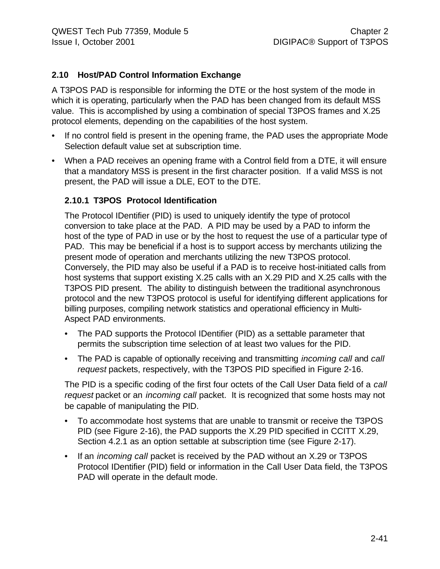# **2.10 Host/PAD Control Information Exchange**

A T3POS PAD is responsible for informing the DTE or the host system of the mode in which it is operating, particularly when the PAD has been changed from its default MSS value. This is accomplished by using a combination of special T3POS frames and X.25 protocol elements, depending on the capabilities of the host system.

- If no control field is present in the opening frame, the PAD uses the appropriate Mode Selection default value set at subscription time.
- When a PAD receives an opening frame with a Control field from a DTE, it will ensure that a mandatory MSS is present in the first character position. If a valid MSS is not present, the PAD will issue a DLE, EOT to the DTE.

## **2.10.1 T3POS Protocol Identification**

The Protocol IDentifier (PID) is used to uniquely identify the type of protocol conversion to take place at the PAD. A PID may be used by a PAD to inform the host of the type of PAD in use or by the host to request the use of a particular type of PAD. This may be beneficial if a host is to support access by merchants utilizing the present mode of operation and merchants utilizing the new T3POS protocol. Conversely, the PID may also be useful if a PAD is to receive host-initiated calls from host systems that support existing X.25 calls with an X.29 PID and X.25 calls with the T3POS PID present. The ability to distinguish between the traditional asynchronous protocol and the new T3POS protocol is useful for identifying different applications for billing purposes, compiling network statistics and operational efficiency in Multi-Aspect PAD environments.

- The PAD supports the Protocol IDentifier (PID) as a settable parameter that permits the subscription time selection of at least two values for the PID.
- The PAD is capable of optionally receiving and transmitting *incoming call* and *call request* packets, respectively, with the T3POS PID specified in Figure 2-16.

The PID is a specific coding of the first four octets of the Call User Data field of a *call request* packet or an *incoming call* packet. It is recognized that some hosts may not be capable of manipulating the PID.

- To accommodate host systems that are unable to transmit or receive the T3POS PID (see Figure 2-16), the PAD supports the X.29 PID specified in CCITT X.29, Section 4.2.1 as an option settable at subscription time (see Figure 2-17).
- If an *incoming call* packet is received by the PAD without an X.29 or T3POS Protocol IDentifier (PID) field or information in the Call User Data field, the T3POS PAD will operate in the default mode.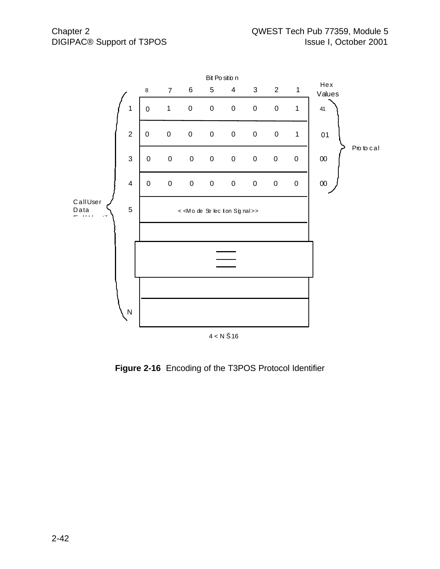

**Figure 2-16** Encoding of the T3POS Protocol Identifier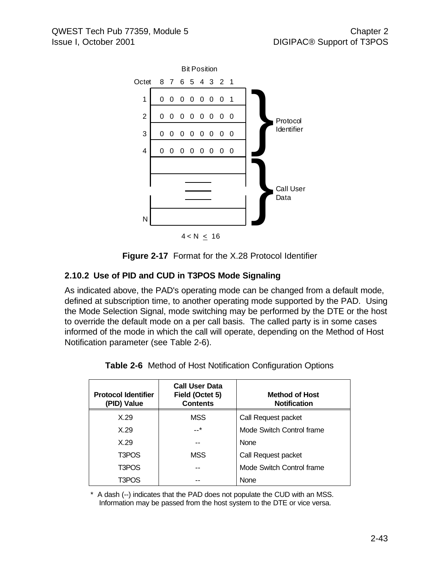

**Figure 2-17** Format for the X.28 Protocol Identifier

# **2.10.2 Use of PID and CUD in T3POS Mode Signaling**

As indicated above, the PAD's operating mode can be changed from a default mode, defined at subscription time, to another operating mode supported by the PAD. Using the Mode Selection Signal, mode switching may be performed by the DTE or the host to override the default mode on a per call basis. The called party is in some cases informed of the mode in which the call will operate, depending on the Method of Host Notification parameter (see Table 2-6).

| <b>Protocol Identifier</b><br>(PID) Value | <b>Call User Data</b><br>Field (Octet 5)<br><b>Contents</b> | <b>Method of Host</b><br><b>Notification</b> |  |
|-------------------------------------------|-------------------------------------------------------------|----------------------------------------------|--|
| X.29                                      | MSS                                                         | Call Request packet                          |  |
| X.29                                      | $-$ *                                                       | Mode Switch Control frame                    |  |
| X.29                                      |                                                             | <b>None</b>                                  |  |
| T3POS                                     | MSS                                                         | Call Request packet                          |  |
| T3POS                                     |                                                             | Mode Switch Control frame                    |  |
| T3POS                                     |                                                             | None                                         |  |

**Table 2-6** Method of Host Notification Configuration Options

\* A dash (--) indicates that the PAD does not populate the CUD with an MSS. Information may be passed from the host system to the DTE or vice versa.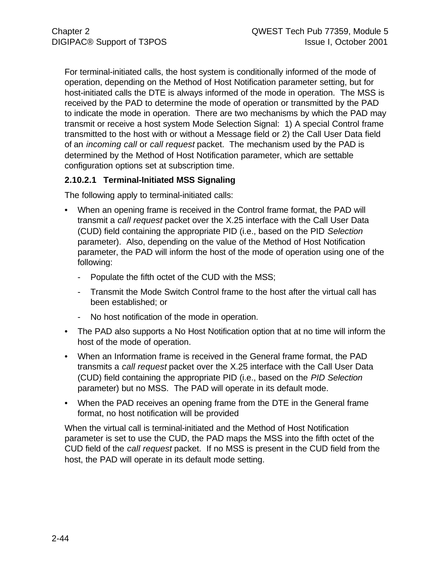For terminal-initiated calls, the host system is conditionally informed of the mode of operation, depending on the Method of Host Notification parameter setting, but for host-initiated calls the DTE is always informed of the mode in operation. The MSS is received by the PAD to determine the mode of operation or transmitted by the PAD to indicate the mode in operation. There are two mechanisms by which the PAD may transmit or receive a host system Mode Selection Signal: 1) A special Control frame transmitted to the host with or without a Message field or 2) the Call User Data field of an *incoming call* or *call request* packet. The mechanism used by the PAD is determined by the Method of Host Notification parameter, which are settable configuration options set at subscription time.

# **2.10.2.1 Terminal-Initiated MSS Signaling**

The following apply to terminal-initiated calls:

- When an opening frame is received in the Control frame format, the PAD will transmit a *call request* packet over the X.25 interface with the Call User Data (CUD) field containing the appropriate PID (i.e., based on the PID *Selection* parameter). Also, depending on the value of the Method of Host Notification parameter, the PAD will inform the host of the mode of operation using one of the following:
	- Populate the fifth octet of the CUD with the MSS;
	- Transmit the Mode Switch Control frame to the host after the virtual call has been established; or
	- No host notification of the mode in operation.
- The PAD also supports a No Host Notification option that at no time will inform the host of the mode of operation.
- When an Information frame is received in the General frame format, the PAD transmits a *call request* packet over the X.25 interface with the Call User Data (CUD) field containing the appropriate PID (i.e., based on the *PID Selection* parameter) but no MSS. The PAD will operate in its default mode.
- When the PAD receives an opening frame from the DTE in the General frame format, no host notification will be provided

When the virtual call is terminal-initiated and the Method of Host Notification parameter is set to use the CUD, the PAD maps the MSS into the fifth octet of the CUD field of the *call request* packet. If no MSS is present in the CUD field from the host, the PAD will operate in its default mode setting.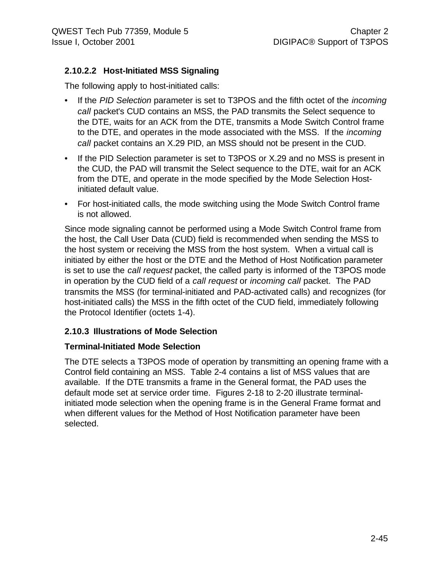# **2.10.2.2 Host-Initiated MSS Signaling**

The following apply to host-initiated calls:

- If the *PID Selection* parameter is set to T3POS and the fifth octet of the *incoming call* packet's CUD contains an MSS, the PAD transmits the Select sequence to the DTE, waits for an ACK from the DTE, transmits a Mode Switch Control frame to the DTE, and operates in the mode associated with the MSS. If the *incoming call* packet contains an X.29 PID, an MSS should not be present in the CUD.
- If the PID Selection parameter is set to T3POS or X.29 and no MSS is present in the CUD, the PAD will transmit the Select sequence to the DTE, wait for an ACK from the DTE, and operate in the mode specified by the Mode Selection Hostinitiated default value.
- For host-initiated calls, the mode switching using the Mode Switch Control frame is not allowed.

Since mode signaling cannot be performed using a Mode Switch Control frame from the host, the Call User Data (CUD) field is recommended when sending the MSS to the host system or receiving the MSS from the host system. When a virtual call is initiated by either the host or the DTE and the Method of Host Notification parameter is set to use the *call request* packet, the called party is informed of the T3POS mode in operation by the CUD field of a *call request* or *incoming call* packet. The PAD transmits the MSS (for terminal-initiated and PAD-activated calls) and recognizes (for host-initiated calls) the MSS in the fifth octet of the CUD field, immediately following the Protocol Identifier (octets 1-4).

#### **2.10.3 Illustrations of Mode Selection**

#### **Terminal-Initiated Mode Selection**

The DTE selects a T3POS mode of operation by transmitting an opening frame with a Control field containing an MSS. Table 2-4 contains a list of MSS values that are available. If the DTE transmits a frame in the General format, the PAD uses the default mode set at service order time. Figures 2-18 to 2-20 illustrate terminalinitiated mode selection when the opening frame is in the General Frame format and when different values for the Method of Host Notification parameter have been selected.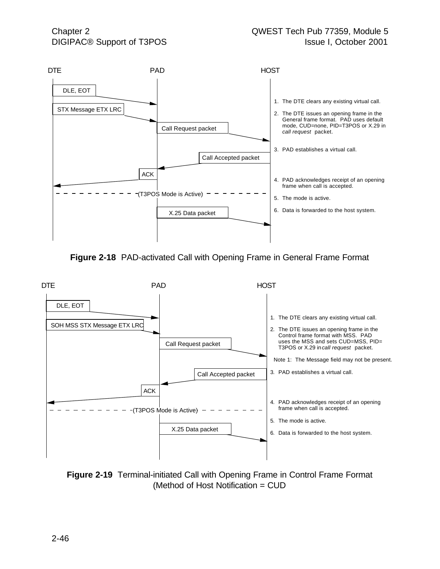

**Figure 2-18** PAD-activated Call with Opening Frame in General Frame Format



**Figure 2-19** Terminal-initiated Call with Opening Frame in Control Frame Format (Method of Host Notification = CUD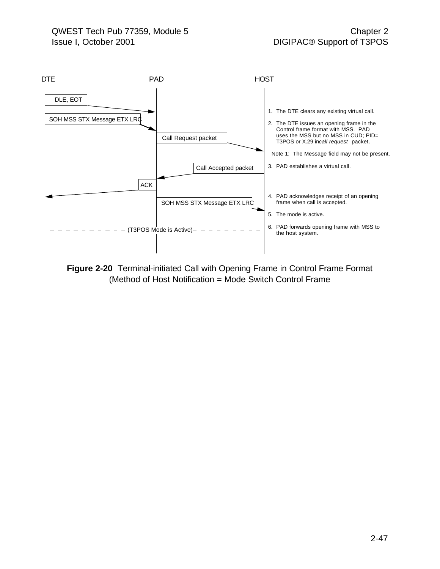

**Figure 2-20** Terminal-initiated Call with Opening Frame in Control Frame Format (Method of Host Notification = Mode Switch Control Frame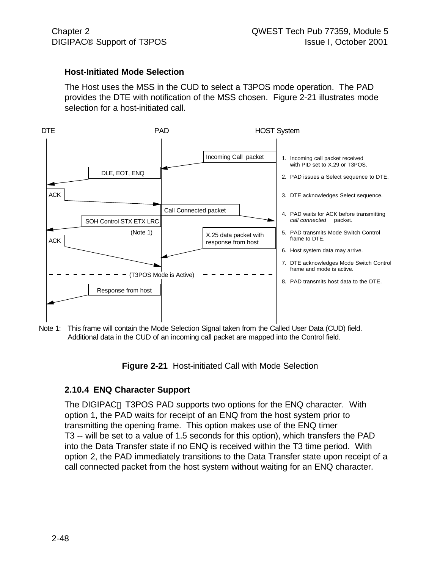#### **Host-Initiated Mode Selection**

The Host uses the MSS in the CUD to select a T3POS mode operation. The PAD provides the DTE with notification of the MSS chosen. Figure 2-21 illustrates mode selection for a host-initiated call.



Note 1: This frame will contain the Mode Selection Signal taken from the Called User Data (CUD) field. Additional data in the CUD of an incoming call packet are mapped into the Control field.

**Figure 2-21** Host-initiated Call with Mode Selection

#### **2.10.4 ENQ Character Support**

The DIGIPAC<sup>®</sup> T3POS PAD supports two options for the ENQ character. With option 1, the PAD waits for receipt of an ENQ from the host system prior to transmitting the opening frame. This option makes use of the ENQ timer T3 -- will be set to a value of 1.5 seconds for this option), which transfers the PAD into the Data Transfer state if no ENQ is received within the T3 time period. With option 2, the PAD immediately transitions to the Data Transfer state upon receipt of a call connected packet from the host system without waiting for an ENQ character.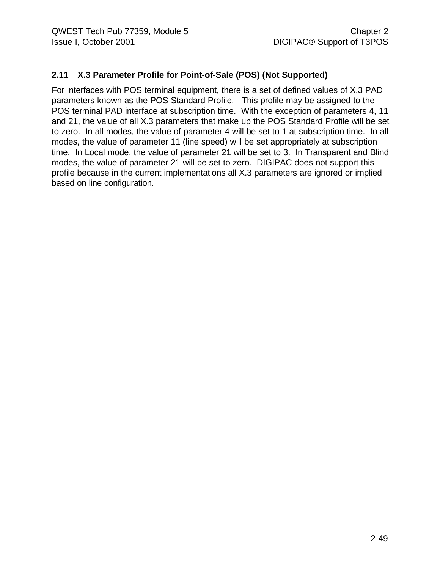# **2.11 X.3 Parameter Profile for Point-of-Sale (POS) (Not Supported)**

For interfaces with POS terminal equipment, there is a set of defined values of X.3 PAD parameters known as the POS Standard Profile. This profile may be assigned to the POS terminal PAD interface at subscription time. With the exception of parameters 4, 11 and 21, the value of all X.3 parameters that make up the POS Standard Profile will be set to zero. In all modes, the value of parameter 4 will be set to 1 at subscription time. In all modes, the value of parameter 11 (line speed) will be set appropriately at subscription time. In Local mode, the value of parameter 21 will be set to 3. In Transparent and Blind modes, the value of parameter 21 will be set to zero. DIGIPAC does not support this profile because in the current implementations all X.3 parameters are ignored or implied based on line configuration.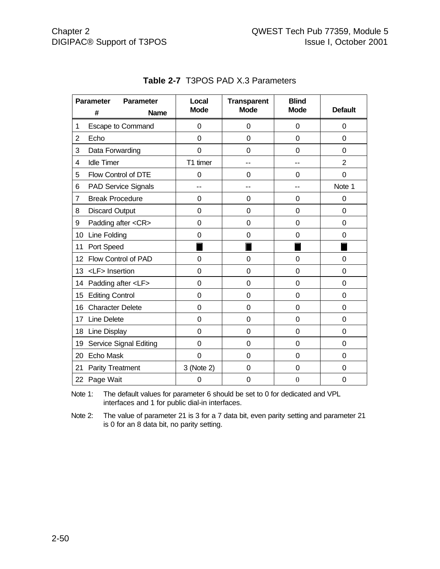|                | <b>Parameter</b><br><b>Parameter</b> | Local          | <b>Transparent</b> | <b>Blind</b>     |                |
|----------------|--------------------------------------|----------------|--------------------|------------------|----------------|
|                | #<br><b>Name</b>                     | <b>Mode</b>    | <b>Mode</b>        | <b>Mode</b>      | <b>Default</b> |
| 1              | <b>Escape to Command</b>             | $\mathbf 0$    | 0                  | 0                | $\mathbf 0$    |
| $\overline{2}$ | Echo                                 | $\overline{0}$ | 0                  | 0                | 0              |
| 3              | Data Forwarding                      | 0              | 0                  | 0                | 0              |
| 4              | <b>Idle Timer</b>                    | T1 timer       |                    |                  | $\overline{2}$ |
| 5              | Flow Control of DTE                  | 0              | 0                  | 0                | $\overline{0}$ |
| 6              | PAD Service Signals                  | --             | --                 |                  | Note 1         |
| $\overline{7}$ | <b>Break Procedure</b>               | 0              | 0                  | 0                | $\overline{0}$ |
| 8              | <b>Discard Output</b>                | 0              | 0                  | 0                | 0              |
| 9              | Padding after <cr></cr>              | 0              | 0                  | 0                | 0              |
| 10             | Line Folding                         | $\mathbf 0$    | 0                  | 0                | 0              |
| 11             | Port Speed                           |                |                    |                  |                |
| 12             | Flow Control of PAD                  | $\Omega$       | 0                  | 0                | $\Omega$       |
| 13             | <lf> Insertion</lf>                  | $\mathbf 0$    | 0                  | 0                | 0              |
| 14             | Padding after <lf></lf>              | $\mathbf 0$    | 0                  | 0                | $\overline{0}$ |
| 15             | <b>Editing Control</b>               | $\mathbf 0$    | 0                  | 0                | 0              |
| 16             | <b>Character Delete</b>              | $\mathbf 0$    | 0                  | 0                | 0              |
| 17             | <b>Line Delete</b>                   | $\mathbf 0$    | 0                  | 0                | 0              |
| 18             | Line Display                         | $\overline{0}$ | 0                  | 0                | $\overline{0}$ |
| 19             | Service Signal Editing               | 0              | 0                  | 0                | $\mathbf 0$    |
| 20             | Echo Mask                            | $\overline{0}$ | $\overline{0}$     | 0                | $\overline{0}$ |
| 21             | <b>Parity Treatment</b>              | 3 (Note 2)     | 0                  | 0                | 0              |
| 22 Page Wait   |                                      | 0              | 0                  | $\boldsymbol{0}$ | 0              |

# **Table 2-7** T3POS PAD X.3 Parameters

Note 1: The default values for parameter 6 should be set to 0 for dedicated and VPL interfaces and 1 for public dial-in interfaces.

Note 2: The value of parameter 21 is 3 for a 7 data bit, even parity setting and parameter 21 is 0 for an 8 data bit, no parity setting.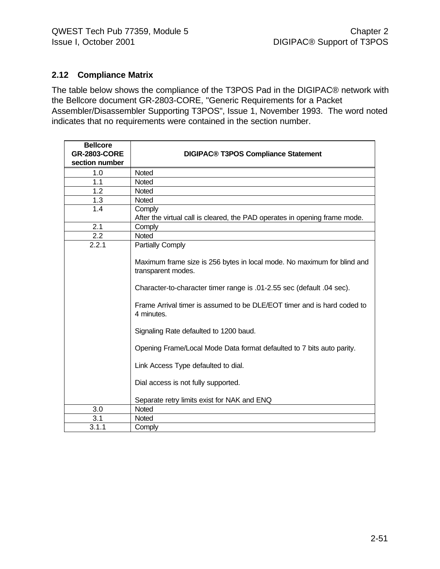## **2.12 Compliance Matrix**

The table below shows the compliance of the T3POS Pad in the DIGIPAC® network with the Bellcore document GR-2803-CORE, "Generic Requirements for a Packet Assembler/Disassembler Supporting T3POS", Issue 1, November 1993. The word noted indicates that no requirements were contained in the section number.

| <b>Bellcore</b><br><b>GR-2803-CORE</b><br>section number | <b>DIGIPAC® T3POS Compliance Statement</b>                                                  |
|----------------------------------------------------------|---------------------------------------------------------------------------------------------|
| 1.0                                                      | <b>Noted</b>                                                                                |
| 1.1                                                      | Noted                                                                                       |
| 1.2                                                      | Noted                                                                                       |
| 1.3                                                      | Noted                                                                                       |
| 1.4                                                      | Comply<br>After the virtual call is cleared, the PAD operates in opening frame mode.        |
| 2.1                                                      | Comply                                                                                      |
| 2.2                                                      | Noted                                                                                       |
| 2.2.1                                                    | Partially Comply<br>Maximum frame size is 256 bytes in local mode. No maximum for blind and |
|                                                          | transparent modes.<br>Character-to-character timer range is .01-2.55 sec (default .04 sec). |
|                                                          |                                                                                             |
|                                                          | Frame Arrival timer is assumed to be DLE/EOT timer and is hard coded to<br>4 minutes.       |
|                                                          | Signaling Rate defaulted to 1200 baud.                                                      |
|                                                          | Opening Frame/Local Mode Data format defaulted to 7 bits auto parity.                       |
|                                                          | Link Access Type defaulted to dial.                                                         |
|                                                          | Dial access is not fully supported.                                                         |
|                                                          | Separate retry limits exist for NAK and ENQ                                                 |
| 3.0                                                      | Noted                                                                                       |
| 3.1                                                      | Noted                                                                                       |
| 3.1.1                                                    | Comply                                                                                      |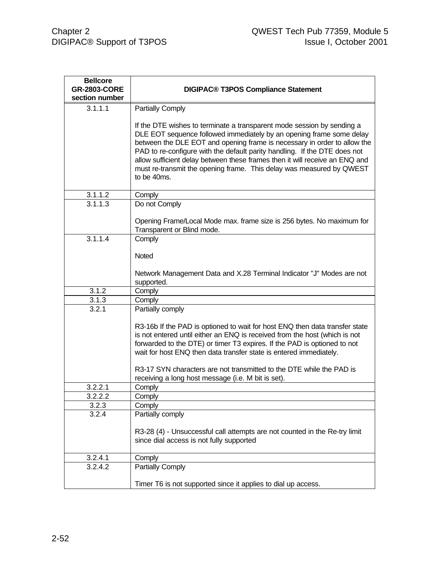| <b>Bellcore</b><br><b>GR-2803-CORE</b><br>section number | <b>DIGIPAC® T3POS Compliance Statement</b>                                                                                                                                                                                                                                                                                                                                                                                                                                    |
|----------------------------------------------------------|-------------------------------------------------------------------------------------------------------------------------------------------------------------------------------------------------------------------------------------------------------------------------------------------------------------------------------------------------------------------------------------------------------------------------------------------------------------------------------|
| 3.1.1.1                                                  | Partially Comply                                                                                                                                                                                                                                                                                                                                                                                                                                                              |
|                                                          | If the DTE wishes to terminate a transparent mode session by sending a<br>DLE EOT sequence followed immediately by an opening frame some delay<br>between the DLE EOT and opening frame is necessary in order to allow the<br>PAD to re-configure with the default parity handling. If the DTE does not<br>allow sufficient delay between these frames then it will receive an ENQ and<br>must re-transmit the opening frame. This delay was measured by QWEST<br>to be 40ms. |
| 3.1.1.2                                                  | Comply                                                                                                                                                                                                                                                                                                                                                                                                                                                                        |
| 3.1.1.3                                                  | Do not Comply                                                                                                                                                                                                                                                                                                                                                                                                                                                                 |
|                                                          | Opening Frame/Local Mode max. frame size is 256 bytes. No maximum for<br>Transparent or Blind mode.                                                                                                                                                                                                                                                                                                                                                                           |
| 3.1.1.4                                                  | Comply                                                                                                                                                                                                                                                                                                                                                                                                                                                                        |
|                                                          | Noted                                                                                                                                                                                                                                                                                                                                                                                                                                                                         |
|                                                          | Network Management Data and X.28 Terminal Indicator "J" Modes are not<br>supported.                                                                                                                                                                                                                                                                                                                                                                                           |
| 3.1.2                                                    | Comply                                                                                                                                                                                                                                                                                                                                                                                                                                                                        |
| 3.1.3                                                    | Comply                                                                                                                                                                                                                                                                                                                                                                                                                                                                        |
| 3.2.1                                                    | Partially comply                                                                                                                                                                                                                                                                                                                                                                                                                                                              |
|                                                          | R3-16b If the PAD is optioned to wait for host ENQ then data transfer state<br>is not entered until either an ENQ is received from the host (which is not<br>forwarded to the DTE) or timer T3 expires. If the PAD is optioned to not<br>wait for host ENQ then data transfer state is entered immediately.                                                                                                                                                                   |
|                                                          | R3-17 SYN characters are not transmitted to the DTE while the PAD is                                                                                                                                                                                                                                                                                                                                                                                                          |
| 3.2.2.1                                                  | receiving a long host message (i.e. M bit is set).<br>Comply                                                                                                                                                                                                                                                                                                                                                                                                                  |
| 3.2.2.2                                                  | Comply                                                                                                                                                                                                                                                                                                                                                                                                                                                                        |
| 3.2.3                                                    | Comply                                                                                                                                                                                                                                                                                                                                                                                                                                                                        |
| 3.2.4                                                    | Partially comply                                                                                                                                                                                                                                                                                                                                                                                                                                                              |
|                                                          | R3-28 (4) - Unsuccessful call attempts are not counted in the Re-try limit<br>since dial access is not fully supported                                                                                                                                                                                                                                                                                                                                                        |
| 3.2.4.1                                                  | Comply                                                                                                                                                                                                                                                                                                                                                                                                                                                                        |
| 3.2.4.2                                                  | <b>Partially Comply</b>                                                                                                                                                                                                                                                                                                                                                                                                                                                       |
|                                                          | Timer T6 is not supported since it applies to dial up access.                                                                                                                                                                                                                                                                                                                                                                                                                 |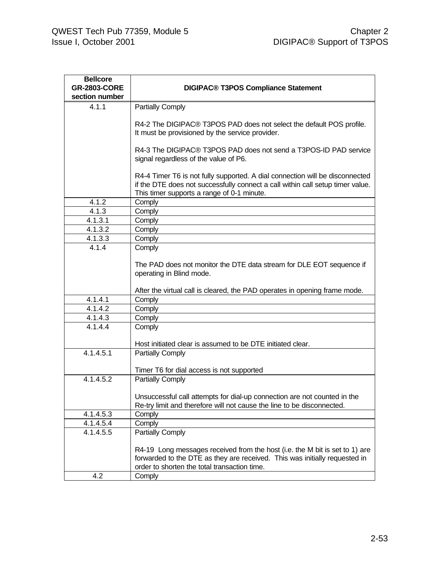| <b>Bellcore</b>                       |                                                                                |  |  |  |
|---------------------------------------|--------------------------------------------------------------------------------|--|--|--|
| <b>GR-2803-CORE</b><br>section number | <b>DIGIPAC® T3POS Compliance Statement</b>                                     |  |  |  |
|                                       |                                                                                |  |  |  |
| 4.1.1                                 | <b>Partially Comply</b>                                                        |  |  |  |
|                                       | R4-2 The DIGIPAC® T3POS PAD does not select the default POS profile.           |  |  |  |
|                                       | It must be provisioned by the service provider.                                |  |  |  |
|                                       |                                                                                |  |  |  |
|                                       | R4-3 The DIGIPAC® T3POS PAD does not send a T3POS-ID PAD service               |  |  |  |
|                                       | signal regardless of the value of P6.                                          |  |  |  |
|                                       |                                                                                |  |  |  |
|                                       | R4-4 Timer T6 is not fully supported. A dial connection will be disconnected   |  |  |  |
|                                       | if the DTE does not successfully connect a call within call setup timer value. |  |  |  |
|                                       | This timer supports a range of 0-1 minute.                                     |  |  |  |
| 4.1.2                                 | Comply                                                                         |  |  |  |
| 4.1.3                                 | Comply                                                                         |  |  |  |
| 4.1.3.1<br>4.1.3.2                    | Comply                                                                         |  |  |  |
| 4.1.3.3                               | Comply                                                                         |  |  |  |
| 4.1.4                                 | Comply<br>Comply                                                               |  |  |  |
|                                       |                                                                                |  |  |  |
|                                       | The PAD does not monitor the DTE data stream for DLE EOT sequence if           |  |  |  |
|                                       | operating in Blind mode.                                                       |  |  |  |
|                                       |                                                                                |  |  |  |
|                                       | After the virtual call is cleared, the PAD operates in opening frame mode.     |  |  |  |
| 4.1.4.1                               | Comply                                                                         |  |  |  |
| 4.1.4.2                               | Comply                                                                         |  |  |  |
| 4.1.4.3                               | Comply                                                                         |  |  |  |
| 4.1.4.4                               | Comply                                                                         |  |  |  |
|                                       |                                                                                |  |  |  |
|                                       | Host initiated clear is assumed to be DTE initiated clear.                     |  |  |  |
| 4.1.4.5.1                             | <b>Partially Comply</b>                                                        |  |  |  |
|                                       | Timer T6 for dial access is not supported                                      |  |  |  |
| 4.1.4.5.2                             | Partially Comply                                                               |  |  |  |
|                                       |                                                                                |  |  |  |
|                                       | Unsuccessful call attempts for dial-up connection are not counted in the       |  |  |  |
|                                       | Re-try limit and therefore will not cause the line to be disconnected.         |  |  |  |
| 4.1.4.5.3                             | Comply                                                                         |  |  |  |
| 4.1.4.5.4                             | Comply                                                                         |  |  |  |
| 4.1.4.5.5                             | <b>Partially Comply</b>                                                        |  |  |  |
|                                       |                                                                                |  |  |  |
|                                       | R4-19 Long messages received from the host (i.e. the M bit is set to 1) are    |  |  |  |
|                                       | forwarded to the DTE as they are received. This was initially requested in     |  |  |  |
|                                       | order to shorten the total transaction time.                                   |  |  |  |
| 4.2                                   | Comply                                                                         |  |  |  |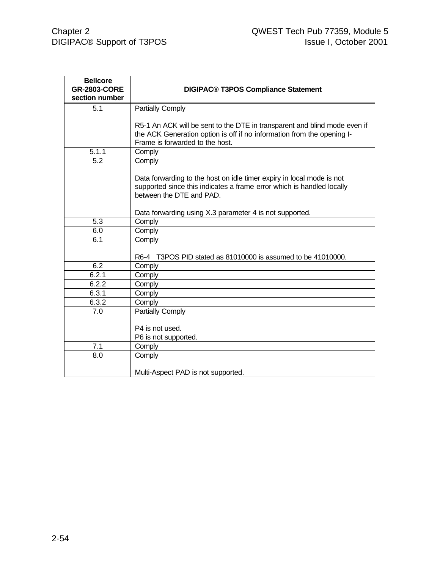| <b>Bellcore</b>     |                                                                                                                                                |
|---------------------|------------------------------------------------------------------------------------------------------------------------------------------------|
| <b>GR-2803-CORE</b> | <b>DIGIPAC® T3POS Compliance Statement</b>                                                                                                     |
| section number      |                                                                                                                                                |
| 5.1                 | Partially Comply                                                                                                                               |
|                     |                                                                                                                                                |
|                     | R5-1 An ACK will be sent to the DTE in transparent and blind mode even if                                                                      |
|                     | the ACK Generation option is off if no information from the opening I-                                                                         |
|                     | Frame is forwarded to the host.                                                                                                                |
| 5.1.1               | Comply                                                                                                                                         |
| 5.2                 | Comply                                                                                                                                         |
|                     |                                                                                                                                                |
|                     | Data forwarding to the host on idle timer expiry in local mode is not<br>supported since this indicates a frame error which is handled locally |
|                     | between the DTE and PAD.                                                                                                                       |
|                     |                                                                                                                                                |
|                     | Data forwarding using X.3 parameter 4 is not supported.                                                                                        |
| 5.3                 | Comply                                                                                                                                         |
| 6.0                 | Comply                                                                                                                                         |
| 6.1                 | Comply                                                                                                                                         |
|                     |                                                                                                                                                |
|                     | R6-4 T3POS PID stated as 81010000 is assumed to be 41010000.                                                                                   |
| 6.2                 | Comply                                                                                                                                         |
| 6.2.1               | Comply                                                                                                                                         |
| 6.2.2               | Comply                                                                                                                                         |
| 6.3.1               | Comply                                                                                                                                         |
| 6.3.2               | Comply                                                                                                                                         |
| 7.0                 | <b>Partially Comply</b>                                                                                                                        |
|                     |                                                                                                                                                |
|                     | P4 is not used.                                                                                                                                |
|                     | P6 is not supported.                                                                                                                           |
| 7.1                 | Comply                                                                                                                                         |
| 8.0                 | Comply                                                                                                                                         |
|                     | Multi-Aspect PAD is not supported.                                                                                                             |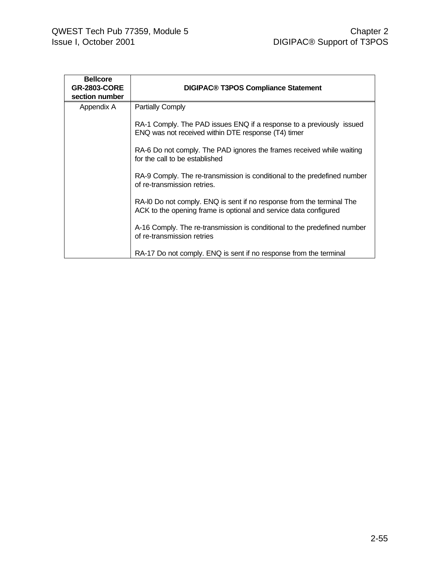| <b>Bellcore</b><br><b>GR-2803-CORE</b><br>section number | <b>DIGIPAC® T3POS Compliance Statement</b>                                                                                                |
|----------------------------------------------------------|-------------------------------------------------------------------------------------------------------------------------------------------|
| Appendix A                                               | <b>Partially Comply</b>                                                                                                                   |
|                                                          | RA-1 Comply. The PAD issues ENQ if a response to a previously issued<br>ENQ was not received within DTE response (T4) timer               |
|                                                          | RA-6 Do not comply. The PAD ignores the frames received while waiting<br>for the call to be established                                   |
|                                                          | RA-9 Comply. The re-transmission is conditional to the predefined number<br>of re-transmission retries.                                   |
|                                                          | RA-IO Do not comply. ENQ is sent if no response from the terminal The<br>ACK to the opening frame is optional and service data configured |
|                                                          | A-16 Comply. The re-transmission is conditional to the predefined number<br>of re-transmission retries                                    |
|                                                          | RA-17 Do not comply. ENQ is sent if no response from the terminal                                                                         |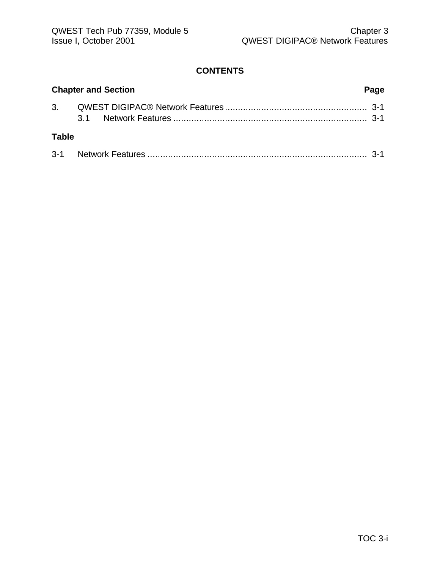# **CONTENTS**

| <b>Chapter and Section</b> |  |  | Page |
|----------------------------|--|--|------|
|                            |  |  |      |
| <b>Table</b>               |  |  |      |
|                            |  |  |      |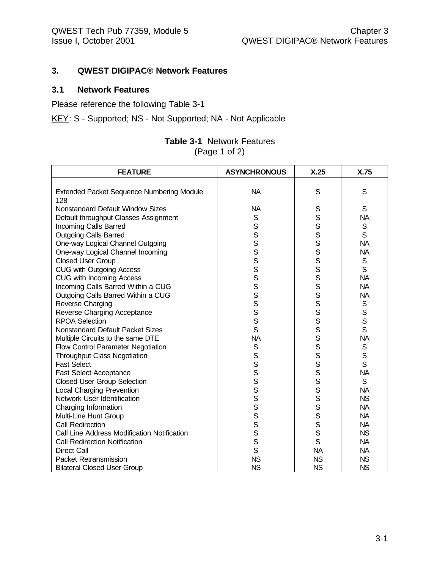## **3. QWEST DIGIPAC® Network Features**

# **3.1 Network Features**

Please reference the following Table 3-1

KEY: S - Supported; NS - Not Supported; NA - Not Applicable

| <b>Table 3-1</b> Network Features |
|-----------------------------------|
| (Page 1 of 2)                     |

| <b>FEATURE</b>                                   | <b>ASYNCHRONOUS</b> | X.25      | X.75         |
|--------------------------------------------------|---------------------|-----------|--------------|
|                                                  |                     |           |              |
| <b>Extended Packet Sequence Numbering Module</b> | <b>NA</b>           | S         | S            |
| 128                                              |                     |           |              |
| <b>Nonstandard Default Window Sizes</b>          | <b>NA</b>           | S         | S            |
| Default throughput Classes Assignment            | S                   | S         | <b>NA</b>    |
| Incoming Calls Barred                            | S                   | S         | $\mathsf S$  |
| <b>Outgoing Calls Barred</b>                     | $\mathbf S$         | S         | S            |
| One-way Logical Channel Outgoing                 | S                   | S         | <b>NA</b>    |
| One-way Logical Channel Incoming                 | S                   | S         | <b>NA</b>    |
| <b>Closed User Group</b>                         | S                   | S         | S            |
| <b>CUG with Outgoing Access</b>                  | S                   | S         | S            |
| <b>CUG with Incoming Access</b>                  | S                   | S         | <b>NA</b>    |
| Incoming Calls Barred Within a CUG               | S                   | S         | <b>NA</b>    |
| Outgoing Calls Barred Within a CUG               | S                   | S         | <b>NA</b>    |
| Reverse Charging                                 | S                   | S         | $\mathsf S$  |
| Reverse Charging Acceptance                      | S                   | S         | $\mathbf S$  |
| <b>RPOA Selection</b>                            | S                   | S         | $\mathsf{s}$ |
| <b>Nonstandard Default Packet Sizes</b>          | S                   | S         | S            |
| Multiple Circuits to the same DTE                | <b>NA</b>           | s<br>s    | <b>NA</b>    |
| Flow Control Parameter Negotiation               | $\mathbb S$         |           | S            |
| <b>Throughput Class Negotiation</b>              | S                   | S         | S            |
| <b>Fast Select</b>                               | S                   | S         | S            |
| <b>Fast Select Acceptance</b>                    | S                   | S         | <b>NA</b>    |
| <b>Closed User Group Selection</b>               | S                   | S         | $\mathsf{S}$ |
| <b>Local Charging Prevention</b>                 | S                   | S         | <b>NA</b>    |
| Network User Identification                      | S                   | S         | <b>NS</b>    |
| Charging Information                             | S                   | S         | <b>NA</b>    |
| Multi-Line Hunt Group                            | S                   | S         | <b>NA</b>    |
| <b>Call Redirection</b>                          | S                   | S         | <b>NA</b>    |
| Call Line Address Modification Notification      | S                   | S         | <b>NS</b>    |
| <b>Call Redirection Notification</b>             | S                   | S         | <b>NA</b>    |
| <b>Direct Call</b>                               | $\mathsf{S}$        | <b>NA</b> | <b>NA</b>    |
| <b>Packet Retransmission</b>                     | <b>NS</b>           | <b>NS</b> | <b>NS</b>    |
| <b>Bilateral Closed User Group</b>               | <b>NS</b>           | <b>NS</b> | <b>NS</b>    |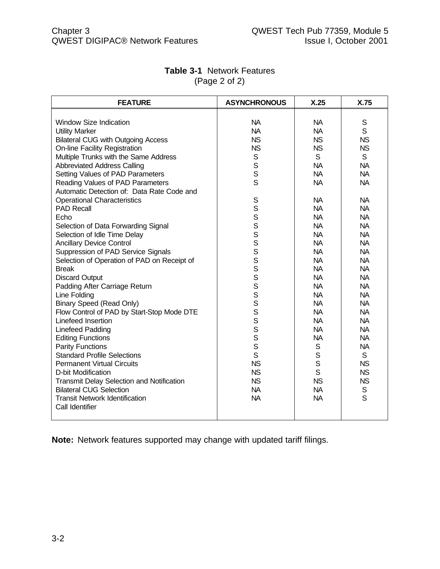| <b>FEATURE</b>                              | <b>ASYNCHRONOUS</b> | X.25         | X.75        |
|---------------------------------------------|---------------------|--------------|-------------|
|                                             |                     |              |             |
| <b>Window Size Indication</b>               | <b>NA</b>           | <b>NA</b>    | S           |
| <b>Utility Marker</b>                       | <b>NA</b>           | <b>NA</b>    | S           |
| <b>Bilateral CUG with Outgoing Access</b>   | <b>NS</b>           | <b>NS</b>    | <b>NS</b>   |
| <b>On-line Facility Registration</b>        | <b>NS</b>           | <b>NS</b>    | <b>NS</b>   |
| Multiple Trunks with the Same Address       | S                   | S            | S           |
| <b>Abbreviated Address Calling</b>          | S                   | <b>NA</b>    | <b>NA</b>   |
| Setting Values of PAD Parameters            | S                   | <b>NA</b>    | <b>NA</b>   |
| Reading Values of PAD Parameters            | S                   | <b>NA</b>    | <b>NA</b>   |
| Automatic Detection of: Data Rate Code and  |                     |              |             |
| <b>Operational Characteristics</b>          | S                   | <b>NA</b>    | <b>NA</b>   |
| <b>PAD Recall</b>                           |                     | <b>NA</b>    | <b>NA</b>   |
| Echo                                        |                     | <b>NA</b>    | <b>NA</b>   |
| Selection of Data Forwarding Signal         | S<br>S<br>S<br>S    | <b>NA</b>    | <b>NA</b>   |
| Selection of Idle Time Delay                |                     | <b>NA</b>    | <b>NA</b>   |
| <b>Ancillary Device Control</b>             | S                   | <b>NA</b>    | <b>NA</b>   |
| Suppression of PAD Service Signals          | S                   | <b>NA</b>    | <b>NA</b>   |
| Selection of Operation of PAD on Receipt of | S                   | <b>NA</b>    | <b>NA</b>   |
| <b>Break</b>                                | S                   | <b>NA</b>    | <b>NA</b>   |
| <b>Discard Output</b>                       | S                   | <b>NA</b>    | <b>NA</b>   |
| Padding After Carriage Return               | S                   | <b>NA</b>    | <b>NA</b>   |
| Line Folding                                | S                   | <b>NA</b>    | <b>NA</b>   |
| <b>Binary Speed (Read Only)</b>             | S                   | <b>NA</b>    | <b>NA</b>   |
| Flow Control of PAD by Start-Stop Mode DTE  | S                   | <b>NA</b>    | <b>NA</b>   |
| Linefeed Insertion                          | S                   | <b>NA</b>    | <b>NA</b>   |
| Linefeed Padding                            | S                   | <b>NA</b>    | <b>NA</b>   |
| <b>Editing Functions</b>                    | S                   | <b>NA</b>    | <b>NA</b>   |
| <b>Parity Functions</b>                     | S                   | $\mathsf S$  | <b>NA</b>   |
| <b>Standard Profile Selections</b>          | S                   | $\mathsf{S}$ | S           |
| <b>Permanent Virtual Circuits</b>           | <b>NS</b>           | $\mathsf S$  | <b>NS</b>   |
| D-bit Modification                          | <b>NS</b>           | $\mathsf{S}$ | <b>NS</b>   |
| Transmit Delay Selection and Notification   | <b>NS</b>           | <b>NS</b>    | <b>NS</b>   |
| <b>Bilateral CUG Selection</b>              | <b>NA</b>           | <b>NA</b>    | $\mathbb S$ |
| <b>Transit Network Identification</b>       | <b>NA</b>           | <b>NA</b>    | S           |
| Call Identifier                             |                     |              |             |
|                                             |                     |              |             |

# **Table 3-1** Network Features (Page 2 of 2)

**Note:** Network features supported may change with updated tariff filings.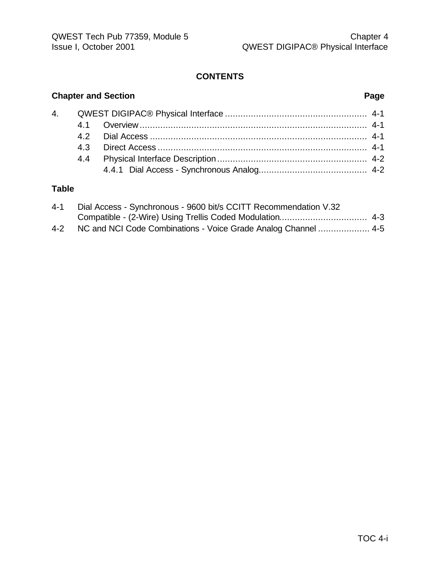# **CONTENTS**

# **Chapter and Section Page**

# **Table**

| $4 - 1$ | Dial Access - Synchronous - 9600 bit/s CCITT Recommendation V.32   |  |
|---------|--------------------------------------------------------------------|--|
|         |                                                                    |  |
|         | 4-2 NC and NCI Code Combinations - Voice Grade Analog Channel  4-5 |  |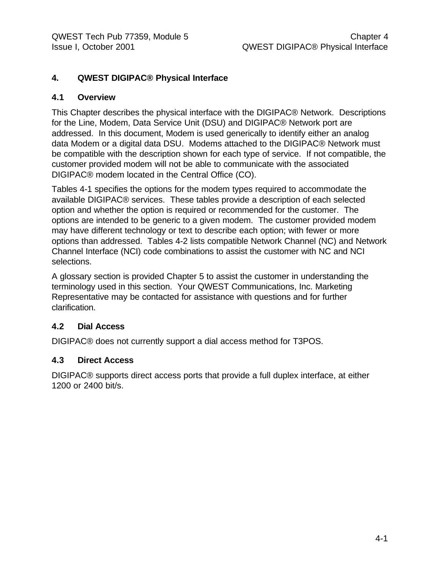## **4. QWEST DIGIPAC® Physical Interface**

#### **4.1 Overview**

This Chapter describes the physical interface with the DIGIPAC® Network. Descriptions for the Line, Modem, Data Service Unit (DSU) and DIGIPAC® Network port are addressed. In this document, Modem is used generically to identify either an analog data Modem or a digital data DSU. Modems attached to the DIGIPAC® Network must be compatible with the description shown for each type of service. If not compatible, the customer provided modem will not be able to communicate with the associated DIGIPAC® modem located in the Central Office (CO).

Tables 4-1 specifies the options for the modem types required to accommodate the available DIGIPAC® services. These tables provide a description of each selected option and whether the option is required or recommended for the customer. The options are intended to be generic to a given modem. The customer provided modem may have different technology or text to describe each option; with fewer or more options than addressed. Tables 4-2 lists compatible Network Channel (NC) and Network Channel Interface (NCI) code combinations to assist the customer with NC and NCI selections.

A glossary section is provided Chapter 5 to assist the customer in understanding the terminology used in this section. Your QWEST Communications, Inc. Marketing Representative may be contacted for assistance with questions and for further clarification.

#### **4.2 Dial Access**

DIGIPAC® does not currently support a dial access method for T3POS.

#### **4.3 Direct Access**

DIGIPAC® supports direct access ports that provide a full duplex interface, at either 1200 or 2400 bit/s.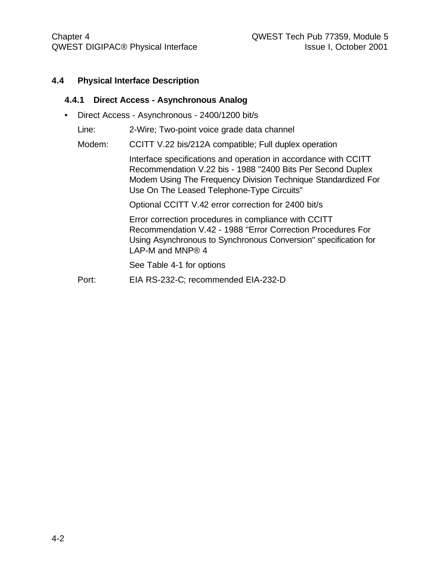### **4.4 Physical Interface Description**

#### **4.4.1 Direct Access - Asynchronous Analog**

• Direct Access - Asynchronous - 2400/1200 bit/s

Line: 2-Wire; Two-point voice grade data channel

Modem: CCITT V.22 bis/212A compatible; Full duplex operation

Interface specifications and operation in accordance with CCITT Recommendation V.22 bis - 1988 "2400 Bits Per Second Duplex Modem Using The Frequency Division Technique Standardized For Use On The Leased Telephone-Type Circuits"

Optional CCITT V.42 error correction for 2400 bit/s

Error correction procedures in compliance with CCITT Recommendation V.42 - 1988 "Error Correction Procedures For Using Asynchronous to Synchronous Conversion" specification for LAP-M and MNP® 4

See Table 4-1 for options

Port: EIA RS-232-C; recommended EIA-232-D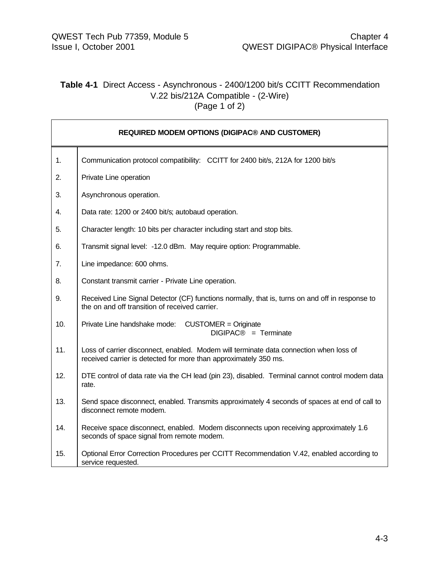# **Table 4-1** Direct Access - Asynchronous - 2400/1200 bit/s CCITT Recommendation V.22 bis/212A Compatible - (2-Wire)  $(Page 1 of 2)$

|     | <b>REQUIRED MODEM OPTIONS (DIGIPAC® AND CUSTOMER)</b>                                                                                                      |
|-----|------------------------------------------------------------------------------------------------------------------------------------------------------------|
| 1.  | Communication protocol compatibility: CCITT for 2400 bit/s, 212A for 1200 bit/s                                                                            |
| 2.  | Private Line operation                                                                                                                                     |
| 3.  | Asynchronous operation.                                                                                                                                    |
| 4.  | Data rate: 1200 or 2400 bit/s; autobaud operation.                                                                                                         |
| 5.  | Character length: 10 bits per character including start and stop bits.                                                                                     |
| 6.  | Transmit signal level: -12.0 dBm. May require option: Programmable.                                                                                        |
| 7.  | Line impedance: 600 ohms.                                                                                                                                  |
| 8.  | Constant transmit carrier - Private Line operation.                                                                                                        |
| 9.  | Received Line Signal Detector (CF) functions normally, that is, turns on and off in response to<br>the on and off transition of received carrier.          |
| 10. | Private Line handshake mode: CUSTOMER = Originate<br>$DIGIPAC@ = Terminate$                                                                                |
| 11. | Loss of carrier disconnect, enabled. Modem will terminate data connection when loss of<br>received carrier is detected for more than approximately 350 ms. |
| 12. | DTE control of data rate via the CH lead (pin 23), disabled. Terminal cannot control modem data<br>rate.                                                   |
| 13. | Send space disconnect, enabled. Transmits approximately 4 seconds of spaces at end of call to<br>disconnect remote modem.                                  |
| 14. | Receive space disconnect, enabled. Modem disconnects upon receiving approximately 1.6<br>seconds of space signal from remote modem.                        |
| 15. | Optional Error Correction Procedures per CCITT Recommendation V.42, enabled according to<br>service requested.                                             |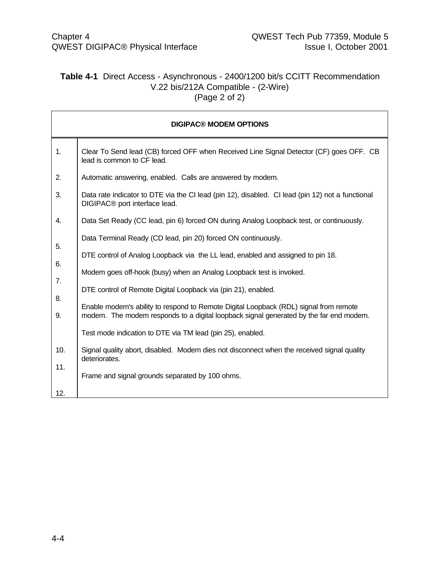# **Table 4-1** Direct Access - Asynchronous - 2400/1200 bit/s CCITT Recommendation V.22 bis/212A Compatible - (2-Wire) (Page 2 of 2)

|          | <b>DIGIPAC® MODEM OPTIONS</b>                                                                                                                                                   |
|----------|---------------------------------------------------------------------------------------------------------------------------------------------------------------------------------|
| 1.       | Clear To Send lead (CB) forced OFF when Received Line Signal Detector (CF) goes OFF. CB<br>lead is common to CF lead.                                                           |
| 2.       | Automatic answering, enabled. Calls are answered by modem.                                                                                                                      |
| 3.       | Data rate indicator to DTE via the CI lead (pin 12), disabled. CI lead (pin 12) not a functional<br>DIGIPAC <sup>®</sup> port interface lead.                                   |
| 4.       | Data Set Ready (CC lead, pin 6) forced ON during Analog Loopback test, or continuously.                                                                                         |
|          | Data Terminal Ready (CD lead, pin 20) forced ON continuously.                                                                                                                   |
| 5.       | DTE control of Analog Loopback via the LL lead, enabled and assigned to pin 18.                                                                                                 |
| 6.       | Modem goes off-hook (busy) when an Analog Loopback test is invoked.                                                                                                             |
| 7.       | DTE control of Remote Digital Loopback via (pin 21), enabled.                                                                                                                   |
| 8.<br>9. | Enable modem's ability to respond to Remote Digital Loopback (RDL) signal from remote<br>modem. The modem responds to a digital loopback signal generated by the far end modem. |
|          | Test mode indication to DTE via TM lead (pin 25), enabled.                                                                                                                      |
| 10.      | Signal quality abort, disabled. Modem dies not disconnect when the received signal quality<br>deteriorates.                                                                     |
| 11.      | Frame and signal grounds separated by 100 ohms.                                                                                                                                 |
| 12.      |                                                                                                                                                                                 |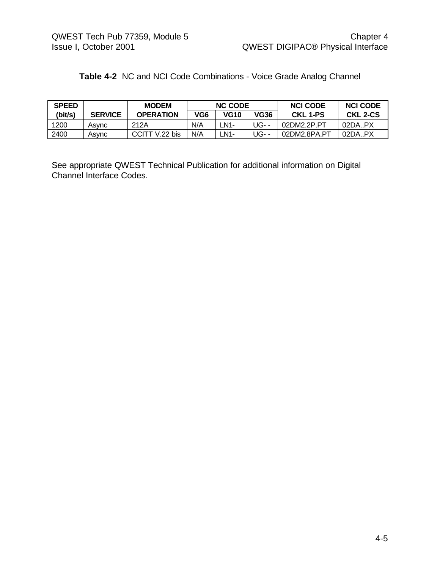| Table 4-2 NC and NCI Code Combinations - Voice Grade Analog Channel |  |
|---------------------------------------------------------------------|--|
|---------------------------------------------------------------------|--|

| <b>SPEED</b> |                | <b>MODEM</b>     | <b>NC CODE</b> |             | <b>NCI CODE</b> | <b>NCI CODE</b> |          |
|--------------|----------------|------------------|----------------|-------------|-----------------|-----------------|----------|
| (bit/s)      | <b>SERVICE</b> | <b>OPERATION</b> | VG6            | <b>VG10</b> | VG36            | <b>CKL 1-PS</b> | CKL 2-CS |
| 1200         | Asvnc          | 212A             | N/A            | <b>N1-</b>  | UG- -           | 02DM2.2P.PT     | 02DA.PX  |
| 2400         | Asvnc          | $V.22$ bis       | N/A            | $N1-$       | UG- -           | 02DM2.8PA.PT    | 02DA.PX  |

See appropriate QWEST Technical Publication for additional information on Digital Channel Interface Codes.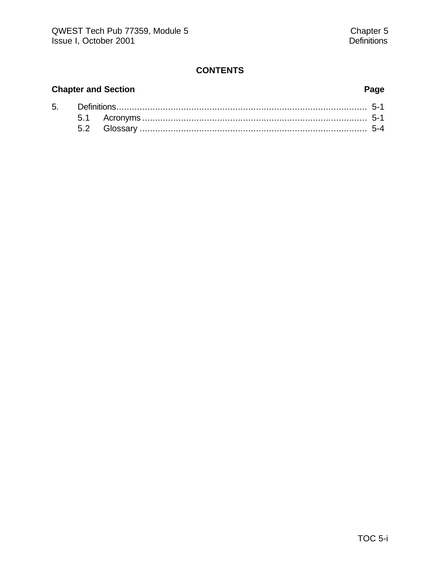# **CONTENTS**

# **Chapter and Section Page**

| 5. |  |  |  |  |  |  |
|----|--|--|--|--|--|--|
|    |  |  |  |  |  |  |
|    |  |  |  |  |  |  |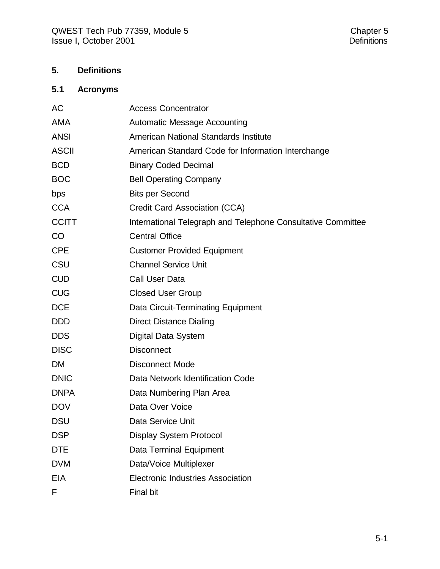# **5. Definitions**

# **5.1 Acronyms**

| AC           | <b>Access Concentrator</b>                                   |
|--------------|--------------------------------------------------------------|
| <b>AMA</b>   | <b>Automatic Message Accounting</b>                          |
| <b>ANSI</b>  | American National Standards Institute                        |
| <b>ASCII</b> | American Standard Code for Information Interchange           |
| <b>BCD</b>   | <b>Binary Coded Decimal</b>                                  |
| <b>BOC</b>   | <b>Bell Operating Company</b>                                |
| bps          | <b>Bits per Second</b>                                       |
| <b>CCA</b>   | <b>Credit Card Association (CCA)</b>                         |
| <b>CCITT</b> | International Telegraph and Telephone Consultative Committee |
| CO           | <b>Central Office</b>                                        |
| <b>CPE</b>   | <b>Customer Provided Equipment</b>                           |
| CSU          | <b>Channel Service Unit</b>                                  |
| <b>CUD</b>   | Call User Data                                               |
| <b>CUG</b>   | <b>Closed User Group</b>                                     |
| <b>DCE</b>   | Data Circuit-Terminating Equipment                           |
| <b>DDD</b>   | <b>Direct Distance Dialing</b>                               |
| <b>DDS</b>   | Digital Data System                                          |
| <b>DISC</b>  | <b>Disconnect</b>                                            |
| <b>DM</b>    | <b>Disconnect Mode</b>                                       |
| <b>DNIC</b>  | Data Network Identification Code                             |
| <b>DNPA</b>  | Data Numbering Plan Area                                     |
| <b>DOV</b>   | Data Over Voice                                              |
| <b>DSU</b>   | Data Service Unit                                            |
| <b>DSP</b>   | <b>Display System Protocol</b>                               |
| <b>DTE</b>   | Data Terminal Equipment                                      |
| <b>DVM</b>   | Data/Voice Multiplexer                                       |
| <b>EIA</b>   | <b>Electronic Industries Association</b>                     |
| F            | <b>Final bit</b>                                             |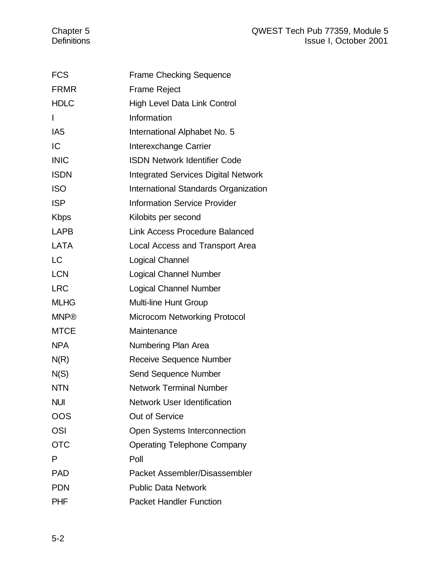| <b>FCS</b>      | <b>Frame Checking Sequence</b>             |
|-----------------|--------------------------------------------|
| <b>FRMR</b>     | <b>Frame Reject</b>                        |
| <b>HDLC</b>     | High Level Data Link Control               |
| $\mathsf{I}$    | Information                                |
| IA <sub>5</sub> | International Alphabet No. 5               |
| IC              | Interexchange Carrier                      |
| <b>INIC</b>     | <b>ISDN Network Identifier Code</b>        |
| <b>ISDN</b>     | <b>Integrated Services Digital Network</b> |
| <b>ISO</b>      | International Standards Organization       |
| <b>ISP</b>      | <b>Information Service Provider</b>        |
| <b>Kbps</b>     | Kilobits per second                        |
| LAPB            | <b>Link Access Procedure Balanced</b>      |
| <b>LATA</b>     | Local Access and Transport Area            |
| <b>LC</b>       | Logical Channel                            |
| <b>LCN</b>      | <b>Logical Channel Number</b>              |
| <b>LRC</b>      | <b>Logical Channel Number</b>              |
| <b>MLHG</b>     | <b>Multi-line Hunt Group</b>               |
| <b>MNP®</b>     | <b>Microcom Networking Protocol</b>        |
| <b>MTCE</b>     | Maintenance                                |
| <b>NPA</b>      | Numbering Plan Area                        |
| N(R)            | Receive Sequence Number                    |
| N(S)            | <b>Send Sequence Number</b>                |
| <b>NTN</b>      | <b>Network Terminal Number</b>             |
| <b>NUI</b>      | <b>Network User Identification</b>         |
| OOS             | <b>Out of Service</b>                      |
| <b>OSI</b>      | Open Systems Interconnection               |
| <b>OTC</b>      | <b>Operating Telephone Company</b>         |
| P               | Poll                                       |
| <b>PAD</b>      | Packet Assembler/Disassembler              |
| <b>PDN</b>      | <b>Public Data Network</b>                 |
| <b>PHF</b>      | <b>Packet Handler Function</b>             |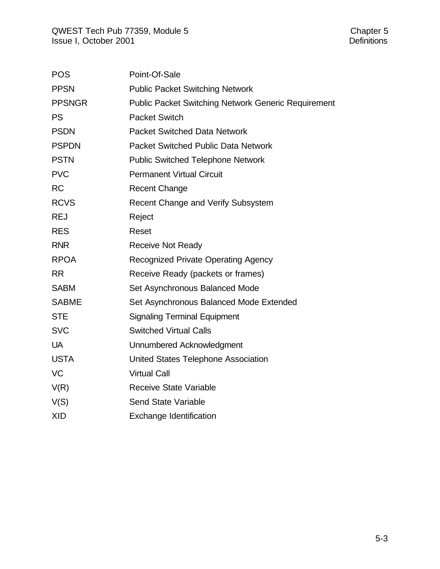| <b>POS</b>    | Point-Of-Sale                                              |
|---------------|------------------------------------------------------------|
| <b>PPSN</b>   | <b>Public Packet Switching Network</b>                     |
| <b>PPSNGR</b> | <b>Public Packet Switching Network Generic Requirement</b> |
| <b>PS</b>     | Packet Switch                                              |
| <b>PSDN</b>   | <b>Packet Switched Data Network</b>                        |
| <b>PSPDN</b>  | <b>Packet Switched Public Data Network</b>                 |
| <b>PSTN</b>   | <b>Public Switched Telephone Network</b>                   |
| <b>PVC</b>    | <b>Permanent Virtual Circuit</b>                           |
| <b>RC</b>     | <b>Recent Change</b>                                       |
| <b>RCVS</b>   | Recent Change and Verify Subsystem                         |
| <b>REJ</b>    | Reject                                                     |
| <b>RES</b>    | Reset                                                      |
| <b>RNR</b>    | <b>Receive Not Ready</b>                                   |
| <b>RPOA</b>   | <b>Recognized Private Operating Agency</b>                 |
| <b>RR</b>     | Receive Ready (packets or frames)                          |
| <b>SABM</b>   | Set Asynchronous Balanced Mode                             |
| <b>SABME</b>  | Set Asynchronous Balanced Mode Extended                    |
| <b>STE</b>    | <b>Signaling Terminal Equipment</b>                        |
| <b>SVC</b>    | <b>Switched Virtual Calls</b>                              |
| <b>UA</b>     | Unnumbered Acknowledgment                                  |
| <b>USTA</b>   | United States Telephone Association                        |
| <b>VC</b>     | <b>Virtual Call</b>                                        |
| V(R)          | <b>Receive State Variable</b>                              |
| V(S)          | <b>Send State Variable</b>                                 |
| <b>XID</b>    | <b>Exchange Identification</b>                             |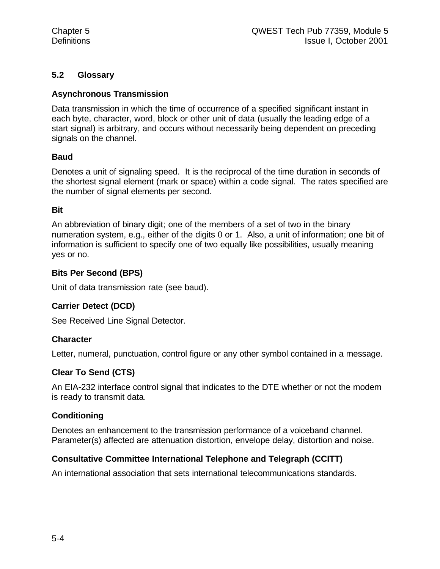# **5.2 Glossary**

# **Asynchronous Transmission**

Data transmission in which the time of occurrence of a specified significant instant in each byte, character, word, block or other unit of data (usually the leading edge of a start signal) is arbitrary, and occurs without necessarily being dependent on preceding signals on the channel.

# **Baud**

Denotes a unit of signaling speed. It is the reciprocal of the time duration in seconds of the shortest signal element (mark or space) within a code signal. The rates specified are the number of signal elements per second.

#### **Bit**

An abbreviation of binary digit; one of the members of a set of two in the binary numeration system, e.g., either of the digits 0 or 1. Also, a unit of information; one bit of information is sufficient to specify one of two equally like possibilities, usually meaning yes or no.

#### **Bits Per Second (BPS)**

Unit of data transmission rate (see baud).

# **Carrier Detect (DCD)**

See Received Line Signal Detector.

# **Character**

Letter, numeral, punctuation, control figure or any other symbol contained in a message.

# **Clear To Send (CTS)**

An EIA-232 interface control signal that indicates to the DTE whether or not the modem is ready to transmit data.

# **Conditioning**

Denotes an enhancement to the transmission performance of a voiceband channel. Parameter(s) affected are attenuation distortion, envelope delay, distortion and noise.

# **Consultative Committee International Telephone and Telegraph (CCITT)**

An international association that sets international telecommunications standards.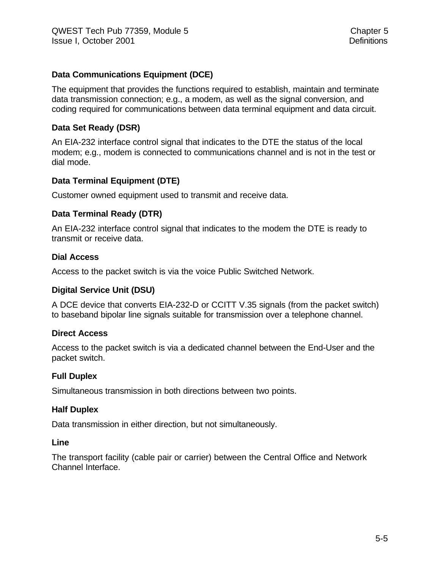# **Data Communications Equipment (DCE)**

The equipment that provides the functions required to establish, maintain and terminate data transmission connection; e.g., a modem, as well as the signal conversion, and coding required for communications between data terminal equipment and data circuit.

# **Data Set Ready (DSR)**

An EIA-232 interface control signal that indicates to the DTE the status of the local modem; e.g., modem is connected to communications channel and is not in the test or dial mode.

# **Data Terminal Equipment (DTE)**

Customer owned equipment used to transmit and receive data.

#### **Data Terminal Ready (DTR)**

An EIA-232 interface control signal that indicates to the modem the DTE is ready to transmit or receive data.

#### **Dial Access**

Access to the packet switch is via the voice Public Switched Network.

#### **Digital Service Unit (DSU)**

A DCE device that converts EIA-232-D or CCITT V.35 signals (from the packet switch) to baseband bipolar line signals suitable for transmission over a telephone channel.

#### **Direct Access**

Access to the packet switch is via a dedicated channel between the End-User and the packet switch.

#### **Full Duplex**

Simultaneous transmission in both directions between two points.

#### **Half Duplex**

Data transmission in either direction, but not simultaneously.

#### **Line**

The transport facility (cable pair or carrier) between the Central Office and Network Channel Interface.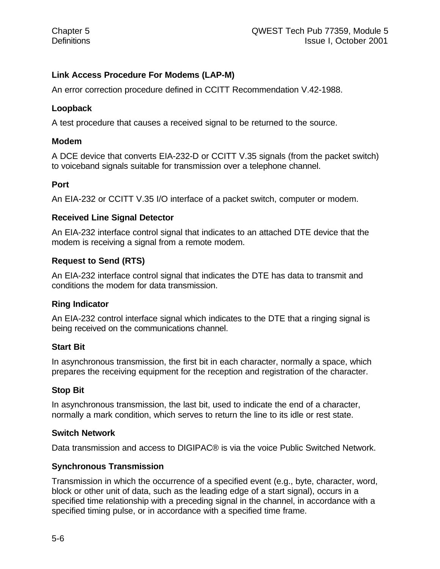# **Link Access Procedure For Modems (LAP-M)**

An error correction procedure defined in CCITT Recommendation V.42-1988.

#### **Loopback**

A test procedure that causes a received signal to be returned to the source.

#### **Modem**

A DCE device that converts EIA-232-D or CCITT V.35 signals (from the packet switch) to voiceband signals suitable for transmission over a telephone channel.

#### **Port**

An EIA-232 or CCITT V.35 I/O interface of a packet switch, computer or modem.

#### **Received Line Signal Detector**

An EIA-232 interface control signal that indicates to an attached DTE device that the modem is receiving a signal from a remote modem.

# **Request to Send (RTS)**

An EIA-232 interface control signal that indicates the DTE has data to transmit and conditions the modem for data transmission.

# **Ring Indicator**

An EIA-232 control interface signal which indicates to the DTE that a ringing signal is being received on the communications channel.

# **Start Bit**

In asynchronous transmission, the first bit in each character, normally a space, which prepares the receiving equipment for the reception and registration of the character.

# **Stop Bit**

In asynchronous transmission, the last bit, used to indicate the end of a character, normally a mark condition, which serves to return the line to its idle or rest state.

#### **Switch Network**

Data transmission and access to DIGIPAC® is via the voice Public Switched Network.

# **Synchronous Transmission**

Transmission in which the occurrence of a specified event (e.g., byte, character, word, block or other unit of data, such as the leading edge of a start signal), occurs in a specified time relationship with a preceding signal in the channel, in accordance with a specified timing pulse, or in accordance with a specified time frame.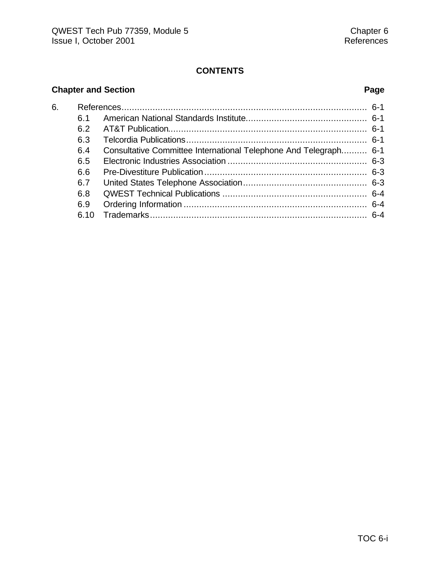# **CONTENTS**

# **Chapter and Section Page**

| 6. |      |                                                                  |  |
|----|------|------------------------------------------------------------------|--|
|    | ჩ 1  |                                                                  |  |
|    | 6.2  |                                                                  |  |
|    | 6.3  |                                                                  |  |
|    | 6.4  | Consultative Committee International Telephone And Telegraph 6-1 |  |
|    | 6.5  |                                                                  |  |
|    | 6.6  |                                                                  |  |
|    | 6.7  |                                                                  |  |
|    | 6.8  |                                                                  |  |
|    | 6.9  |                                                                  |  |
|    | 6.10 |                                                                  |  |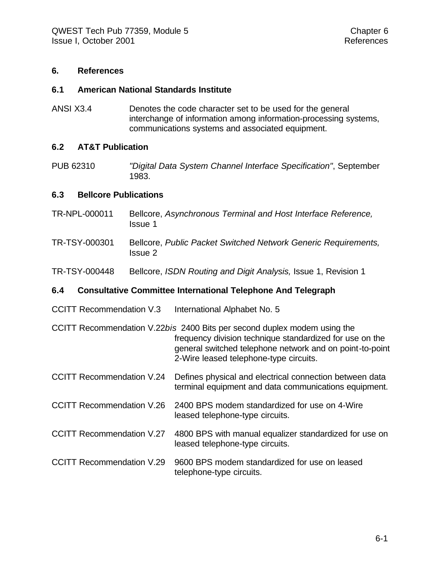#### **6. References**

#### **6.1 American National Standards Institute**

ANSI X3.4 Denotes the code character set to be used for the general interchange of information among information-processing systems, communications systems and associated equipment.

#### **6.2 AT&T Publication**

PUB 62310 *"Digital Data System Channel Interface Specification"*, September 1983.

#### **6.3 Bellcore Publications**

- TR-NPL-000011 Bellcore, *Asynchronous Terminal and Host Interface Reference,* Issue 1
- TR-TSY-000301 Bellcore, *Public Packet Switched Network Generic Requirements,* Issue 2
- TR-TSY-000448 Bellcore, *ISDN Routing and Digit Analysis,* Issue 1, Revision 1

#### **6.4 Consultative Committee International Telephone And Telegraph**

CCITT Recommendation V.3 International Alphabet No. 5

CCITT Recommendation V.22*bis* 2400 Bits per second duplex modem using the frequency division technique standardized for use on the general switched telephone network and on point-to-point 2-Wire leased telephone-type circuits.

- CCITT Recommendation V.24 Defines physical and electrical connection between data terminal equipment and data communications equipment.
- CCITT Recommendation V.26 2400 BPS modem standardized for use on 4-Wire leased telephone-type circuits.
- CCITT Recommendation V.27 4800 BPS with manual equalizer standardized for use on leased telephone-type circuits.
- CCITT Recommendation V.29 9600 BPS modem standardized for use on leased telephone-type circuits.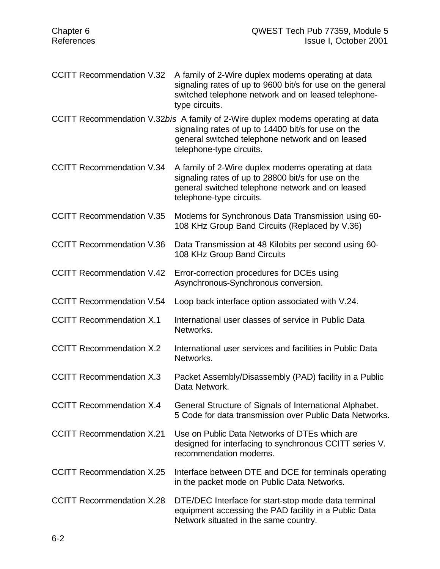- CCITT Recommendation V.32 A family of 2-Wire duplex modems operating at data signaling rates of up to 9600 bit/s for use on the general switched telephone network and on leased telephonetype circuits.
- CCITT Recommendation V.32*bis* A family of 2-Wire duplex modems operating at data signaling rates of up to 14400 bit/s for use on the general switched telephone network and on leased telephone-type circuits.
- CCITT Recommendation V.34 A family of 2-Wire duplex modems operating at data signaling rates of up to 28800 bit/s for use on the general switched telephone network and on leased telephone-type circuits.
- CCITT Recommendation V.35 Modems for Synchronous Data Transmission using 60- 108 KHz Group Band Circuits (Replaced by V.36)
- CCITT Recommendation V.36 Data Transmission at 48 Kilobits per second using 60- 108 KHz Group Band Circuits
- CCITT Recommendation V.42 Error-correction procedures for DCEs using Asynchronous-Synchronous conversion.
- CCITT Recommendation V.54 Loop back interface option associated with V.24.
- CCITT Recommendation X.1 International user classes of service in Public Data Networks.
- CCITT Recommendation X.2 International user services and facilities in Public Data Networks.
- CCITT Recommendation X.3 Packet Assembly/Disassembly (PAD) facility in a Public Data Network.
- CCITT Recommendation X.4 General Structure of Signals of International Alphabet. 5 Code for data transmission over Public Data Networks.
- CCITT Recommendation X.21 Use on Public Data Networks of DTEs which are designed for interfacing to synchronous CCITT series V. recommendation modems.
- CCITT Recommendation X.25 Interface between DTE and DCE for terminals operating in the packet mode on Public Data Networks.
- CCITT Recommendation X.28 DTE/DEC Interface for start-stop mode data terminal equipment accessing the PAD facility in a Public Data Network situated in the same country.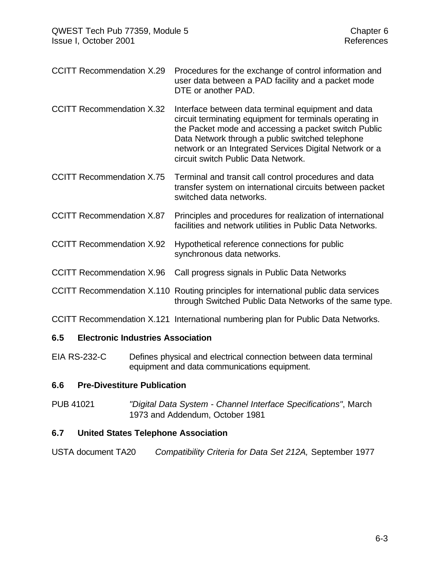- CCITT Recommendation X.29 Procedures for the exchange of control information and user data between a PAD facility and a packet mode DTE or another PAD.
- CCITT Recommendation X.32 Interface between data terminal equipment and data circuit terminating equipment for terminals operating in the Packet mode and accessing a packet switch Public Data Network through a public switched telephone network or an Integrated Services Digital Network or a circuit switch Public Data Network.
- CCITT Recommendation X.75 Terminal and transit call control procedures and data transfer system on international circuits between packet switched data networks.
- CCITT Recommendation X.87 Principles and procedures for realization of international facilities and network utilities in Public Data Networks.
- CCITT Recommendation X.92 Hypothetical reference connections for public synchronous data networks.
- CCITT Recommendation X.96 Call progress signals in Public Data Networks
- CCITT Recommendation X.110 Routing principles for international public data services through Switched Public Data Networks of the same type.
- CCITT Recommendation X.121 International numbering plan for Public Data Networks.

# **6.5 Electronic Industries Association**

EIA RS-232-C Defines physical and electrical connection between data terminal equipment and data communications equipment.

# **6.6 Pre-Divestiture Publication**

PUB 41021 *"Digital Data System - Channel Interface Specifications"*, March 1973 and Addendum, October 1981

# **6.7 United States Telephone Association**

USTA document TA20 *Compatibility Criteria for Data Set 212A,* September 1977